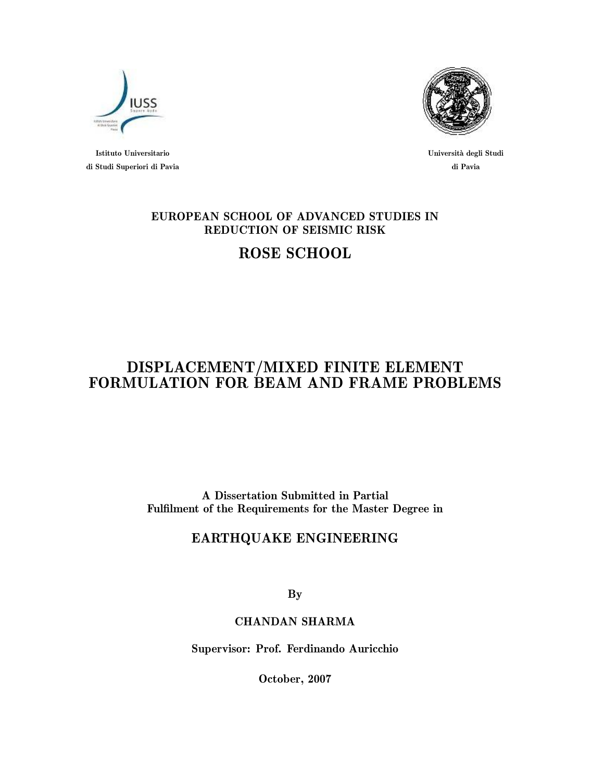

Istituto Universitario di Studi Superiori di Pavia



Università degli Studi di Pavia

### EUROPEAN SCHOOL OF ADVANCED STUDIES IN REDUCTION OF SEISMIC RISK

## ROSE SCHOOL

### DISPLACEMENT/MIXED FINITE ELEMENT FORMULATION FOR BEAM AND FRAME PROBLEMS

A Dissertation Submitted in Partial Fulfilment of the Requirements for the Master Degree in

### EARTHQUAKE ENGINEERING

By

### CHANDAN SHARMA

Supervisor: Prof. Ferdinando Auricchio

October, 2007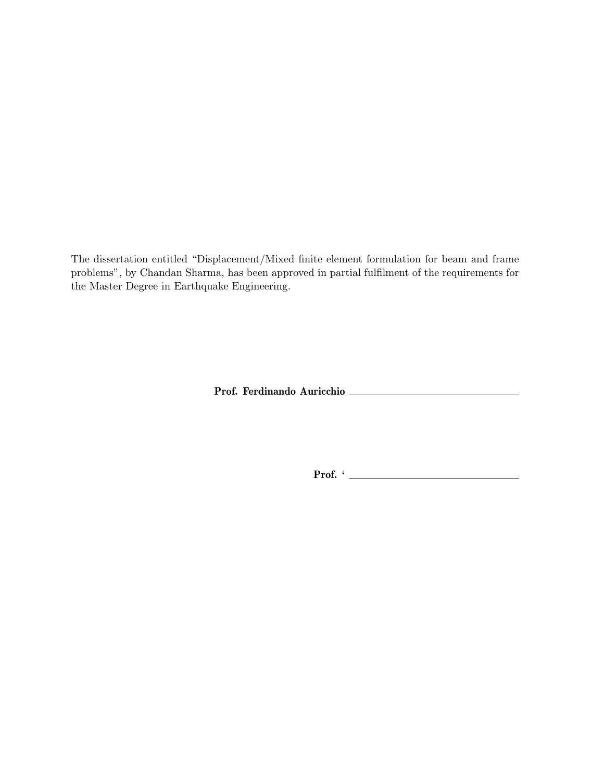The dissertation entitled "Displacement/Mixed finite element formulation for beam and frame problems", by Chandan Sharma, has been approved in partial fulfilment of the requirements for the Master Degree in Earthquake Engineering.

Prof. Ferdinando Auricchio

Prof. '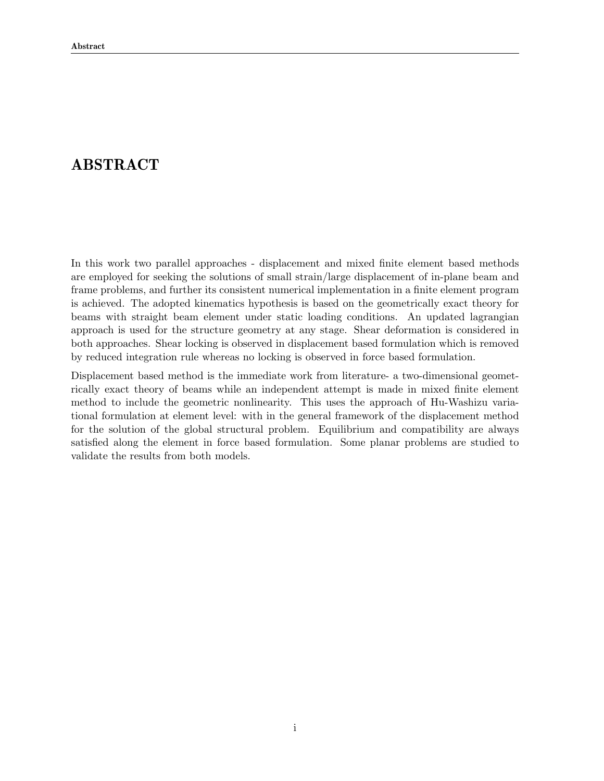### ABSTRACT

In this work two parallel approaches - displacement and mixed finite element based methods are employed for seeking the solutions of small strain/large displacement of in-plane beam and frame problems, and further its consistent numerical implementation in a finite element program is achieved. The adopted kinematics hypothesis is based on the geometrically exact theory for beams with straight beam element under static loading conditions. An updated lagrangian approach is used for the structure geometry at any stage. Shear deformation is considered in both approaches. Shear locking is observed in displacement based formulation which is removed by reduced integration rule whereas no locking is observed in force based formulation.

Displacement based method is the immediate work from literature- a two-dimensional geometrically exact theory of beams while an independent attempt is made in mixed finite element method to include the geometric nonlinearity. This uses the approach of Hu-Washizu variational formulation at element level: with in the general framework of the displacement method for the solution of the global structural problem. Equilibrium and compatibility are always satisfied along the element in force based formulation. Some planar problems are studied to validate the results from both models.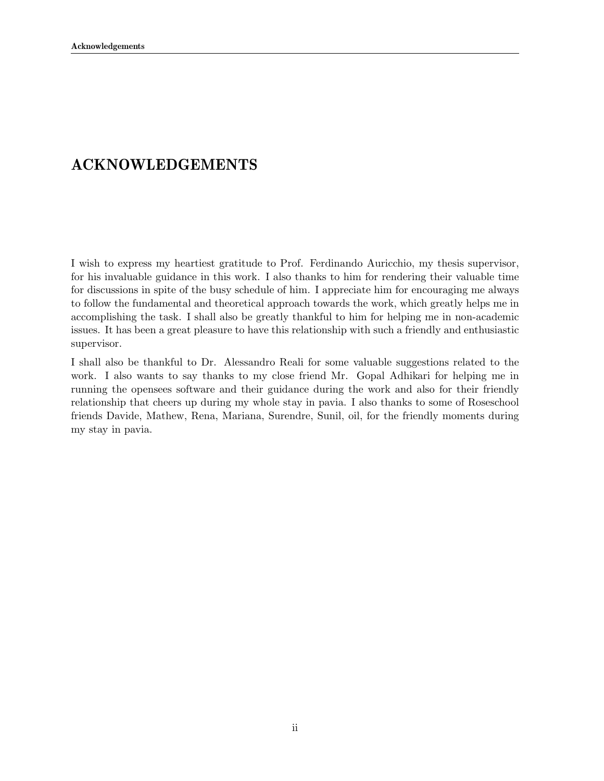### ACKNOWLEDGEMENTS

I wish to express my heartiest gratitude to Prof. Ferdinando Auricchio, my thesis supervisor, for his invaluable guidance in this work. I also thanks to him for rendering their valuable time for discussions in spite of the busy schedule of him. I appreciate him for encouraging me always to follow the fundamental and theoretical approach towards the work, which greatly helps me in accomplishing the task. I shall also be greatly thankful to him for helping me in non-academic issues. It has been a great pleasure to have this relationship with such a friendly and enthusiastic supervisor.

I shall also be thankful to Dr. Alessandro Reali for some valuable suggestions related to the work. I also wants to say thanks to my close friend Mr. Gopal Adhikari for helping me in running the opensees software and their guidance during the work and also for their friendly relationship that cheers up during my whole stay in pavia. I also thanks to some of Roseschool friends Davide, Mathew, Rena, Mariana, Surendre, Sunil, oil, for the friendly moments during my stay in pavia.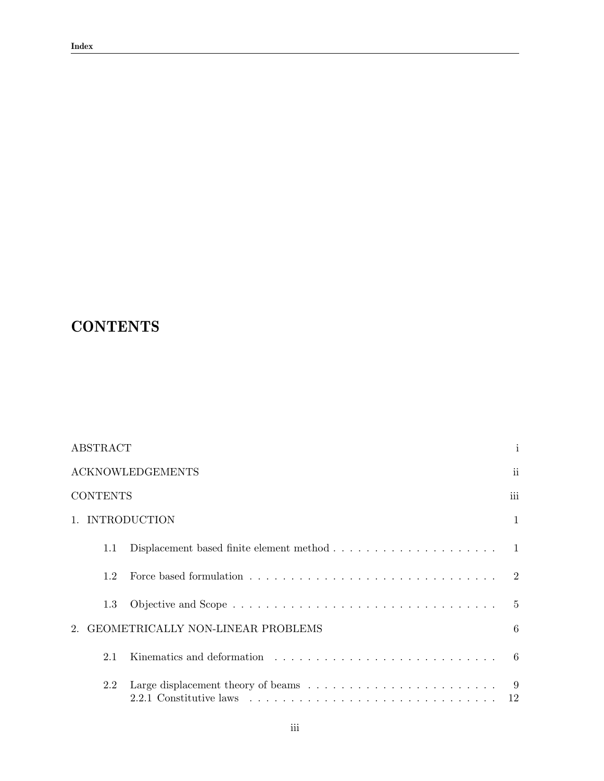# **CONTENTS**

|                 | $\mathbf{i}$<br><b>ABSTRACT</b>                                                            |                       |  |  |  |  |
|-----------------|--------------------------------------------------------------------------------------------|-----------------------|--|--|--|--|
|                 | <b>ACKNOWLEDGEMENTS</b>                                                                    | ii                    |  |  |  |  |
| <b>CONTENTS</b> |                                                                                            | iii                   |  |  |  |  |
|                 | 1. INTRODUCTION                                                                            | 1                     |  |  |  |  |
| 1.1             | Displacement based finite element method $\dots \dots \dots \dots \dots \dots \dots \dots$ |                       |  |  |  |  |
| 1.2             |                                                                                            | $\mathcal{D}_{\cdot}$ |  |  |  |  |
| 1.3             |                                                                                            | $\frac{5}{2}$         |  |  |  |  |
|                 | GEOMETRICALLY NON-LINEAR PROBLEMS                                                          | 6                     |  |  |  |  |
| 2.1             |                                                                                            | 6                     |  |  |  |  |
| 2.2             |                                                                                            | -9<br>12              |  |  |  |  |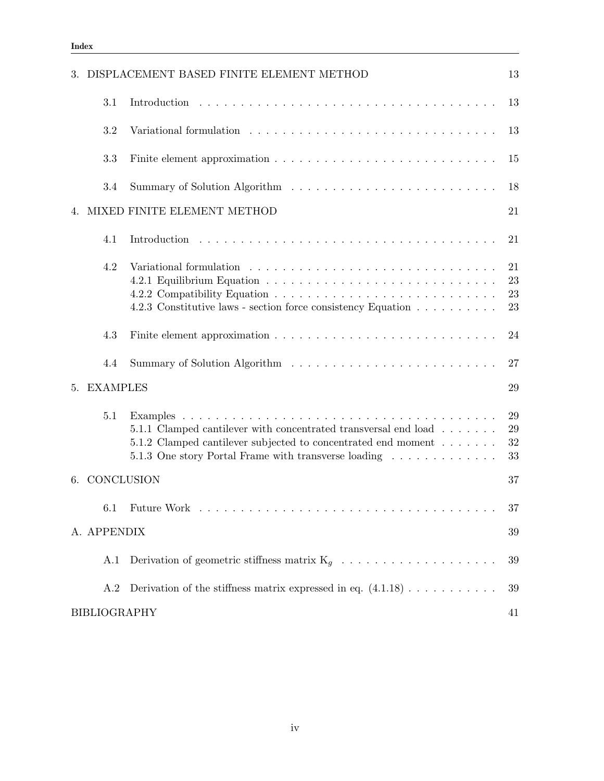|    |                     | 3. DISPLACEMENT BASED FINITE ELEMENT METHOD                                                                                                                                                                                                                                                    | 13                   |
|----|---------------------|------------------------------------------------------------------------------------------------------------------------------------------------------------------------------------------------------------------------------------------------------------------------------------------------|----------------------|
|    | 3.1                 |                                                                                                                                                                                                                                                                                                | 13                   |
|    | 3.2                 | Variational formulation resources in the set of the set of the set of the set of the set of the set of the set of the set of the set of the set of the set of the set of the set of the set of the set of the set of the set o                                                                 | 13                   |
|    | 3.3                 |                                                                                                                                                                                                                                                                                                | 15                   |
|    | 3.4                 |                                                                                                                                                                                                                                                                                                | 18                   |
| 4. |                     | MIXED FINITE ELEMENT METHOD                                                                                                                                                                                                                                                                    | 21                   |
|    | 4.1                 |                                                                                                                                                                                                                                                                                                | 21                   |
|    | 4.2                 | Variational formulation entering entering to the contract of the contract of the contract of the contract of the contract of the contract of the contract of the contract of the contract of the contract of the contract of t<br>4.2.3 Constitutive laws - section force consistency Equation | 21<br>23<br>23<br>23 |
|    | 4.3                 |                                                                                                                                                                                                                                                                                                | 24                   |
|    | 4.4                 |                                                                                                                                                                                                                                                                                                | 27                   |
|    | 5. EXAMPLES         |                                                                                                                                                                                                                                                                                                | 29                   |
|    | 5.1                 | 5.1.1 Clamped cantilever with concentrated transversal end load<br>5.1.2 Clamped cantilever subjected to concentrated end moment<br>5.1.3 One story Portal Frame with transverse loading                                                                                                       | 29<br>29<br>32<br>33 |
|    | 6. CONCLUSION       |                                                                                                                                                                                                                                                                                                | 37                   |
|    |                     |                                                                                                                                                                                                                                                                                                | 37                   |
|    | A. APPENDIX         |                                                                                                                                                                                                                                                                                                | 39                   |
|    | A.1                 | Derivation of geometric stiffness matrix $K_g \ldots \ldots \ldots \ldots \ldots \ldots$                                                                                                                                                                                                       | 39                   |
|    | A.2                 | Derivation of the stiffness matrix expressed in eq. $(4.1.18) \ldots \ldots \ldots$                                                                                                                                                                                                            | 39                   |
|    | <b>BIBLIOGRAPHY</b> |                                                                                                                                                                                                                                                                                                | 41                   |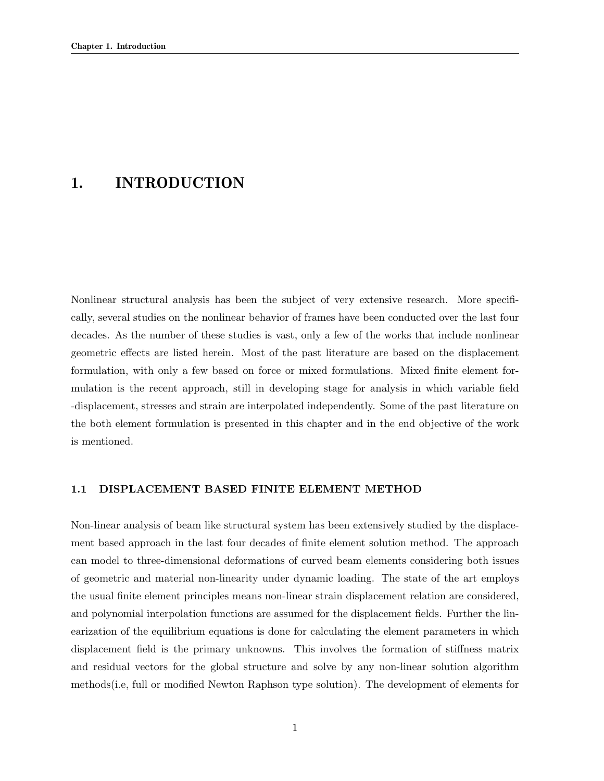### 1. INTRODUCTION

Nonlinear structural analysis has been the subject of very extensive research. More specifically, several studies on the nonlinear behavior of frames have been conducted over the last four decades. As the number of these studies is vast, only a few of the works that include nonlinear geometric effects are listed herein. Most of the past literature are based on the displacement formulation, with only a few based on force or mixed formulations. Mixed finite element formulation is the recent approach, still in developing stage for analysis in which variable field -displacement, stresses and strain are interpolated independently. Some of the past literature on the both element formulation is presented in this chapter and in the end objective of the work is mentioned.

#### 1.1 DISPLACEMENT BASED FINITE ELEMENT METHOD

Non-linear analysis of beam like structural system has been extensively studied by the displacement based approach in the last four decades of finite element solution method. The approach can model to three-dimensional deformations of curved beam elements considering both issues of geometric and material non-linearity under dynamic loading. The state of the art employs the usual finite element principles means non-linear strain displacement relation are considered, and polynomial interpolation functions are assumed for the displacement fields. Further the linearization of the equilibrium equations is done for calculating the element parameters in which displacement field is the primary unknowns. This involves the formation of stiffness matrix and residual vectors for the global structure and solve by any non-linear solution algorithm methods(i.e, full or modified Newton Raphson type solution). The development of elements for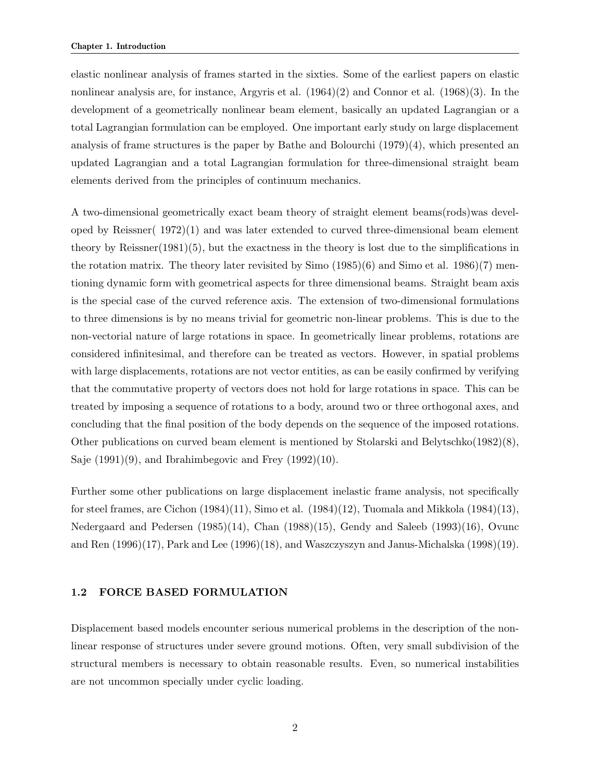elastic nonlinear analysis of frames started in the sixties. Some of the earliest papers on elastic nonlinear analysis are, for instance, Argyris et al. (1964)(2) and Connor et al. (1968)(3). In the development of a geometrically nonlinear beam element, basically an updated Lagrangian or a total Lagrangian formulation can be employed. One important early study on large displacement analysis of frame structures is the paper by Bathe and Bolourchi  $(1979)(4)$ , which presented an updated Lagrangian and a total Lagrangian formulation for three-dimensional straight beam elements derived from the principles of continuum mechanics.

A two-dimensional geometrically exact beam theory of straight element beams(rods)was developed by Reissner( 1972)(1) and was later extended to curved three-dimensional beam element theory by Reissner $(1981)(5)$ , but the exactness in the theory is lost due to the simplifications in the rotation matrix. The theory later revisited by Simo  $(1985)(6)$  and Simo et al. 1986 $(7)$  mentioning dynamic form with geometrical aspects for three dimensional beams. Straight beam axis is the special case of the curved reference axis. The extension of two-dimensional formulations to three dimensions is by no means trivial for geometric non-linear problems. This is due to the non-vectorial nature of large rotations in space. In geometrically linear problems, rotations are considered infinitesimal, and therefore can be treated as vectors. However, in spatial problems with large displacements, rotations are not vector entities, as can be easily confirmed by verifying that the commutative property of vectors does not hold for large rotations in space. This can be treated by imposing a sequence of rotations to a body, around two or three orthogonal axes, and concluding that the final position of the body depends on the sequence of the imposed rotations. Other publications on curved beam element is mentioned by Stolarski and Belytschko(1982)(8), Saje  $(1991)(9)$ , and Ibrahimbegovic and Frey  $(1992)(10)$ .

Further some other publications on large displacement inelastic frame analysis, not specifically for steel frames, are Cichon  $(1984)(11)$ , Simo et al.  $(1984)(12)$ , Tuomala and Mikkola  $(1984)(13)$ , Nedergaard and Pedersen (1985)(14), Chan (1988)(15), Gendy and Saleeb (1993)(16), Ovunc and Ren (1996)(17), Park and Lee (1996)(18), and Waszczyszyn and Janus-Michalska (1998)(19).

#### 1.2 FORCE BASED FORMULATION

Displacement based models encounter serious numerical problems in the description of the nonlinear response of structures under severe ground motions. Often, very small subdivision of the structural members is necessary to obtain reasonable results. Even, so numerical instabilities are not uncommon specially under cyclic loading.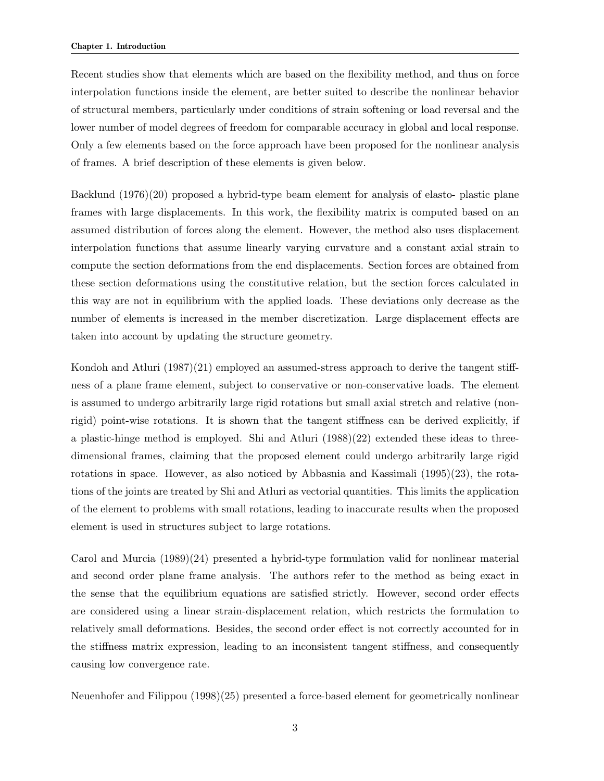Recent studies show that elements which are based on the flexibility method, and thus on force interpolation functions inside the element, are better suited to describe the nonlinear behavior of structural members, particularly under conditions of strain softening or load reversal and the lower number of model degrees of freedom for comparable accuracy in global and local response. Only a few elements based on the force approach have been proposed for the nonlinear analysis of frames. A brief description of these elements is given below.

Backlund (1976)(20) proposed a hybrid-type beam element for analysis of elasto- plastic plane frames with large displacements. In this work, the flexibility matrix is computed based on an assumed distribution of forces along the element. However, the method also uses displacement interpolation functions that assume linearly varying curvature and a constant axial strain to compute the section deformations from the end displacements. Section forces are obtained from these section deformations using the constitutive relation, but the section forces calculated in this way are not in equilibrium with the applied loads. These deviations only decrease as the number of elements is increased in the member discretization. Large displacement effects are taken into account by updating the structure geometry.

Kondoh and Atluri (1987)(21) employed an assumed-stress approach to derive the tangent stiffness of a plane frame element, subject to conservative or non-conservative loads. The element is assumed to undergo arbitrarily large rigid rotations but small axial stretch and relative (nonrigid) point-wise rotations. It is shown that the tangent stiffness can be derived explicitly, if a plastic-hinge method is employed. Shi and Atluri (1988)(22) extended these ideas to threedimensional frames, claiming that the proposed element could undergo arbitrarily large rigid rotations in space. However, as also noticed by Abbasnia and Kassimali  $(1995)(23)$ , the rotations of the joints are treated by Shi and Atluri as vectorial quantities. This limits the application of the element to problems with small rotations, leading to inaccurate results when the proposed element is used in structures subject to large rotations.

Carol and Murcia (1989)(24) presented a hybrid-type formulation valid for nonlinear material and second order plane frame analysis. The authors refer to the method as being exact in the sense that the equilibrium equations are satisfied strictly. However, second order effects are considered using a linear strain-displacement relation, which restricts the formulation to relatively small deformations. Besides, the second order effect is not correctly accounted for in the stiffness matrix expression, leading to an inconsistent tangent stiffness, and consequently causing low convergence rate.

Neuenhofer and Filippou (1998)(25) presented a force-based element for geometrically nonlinear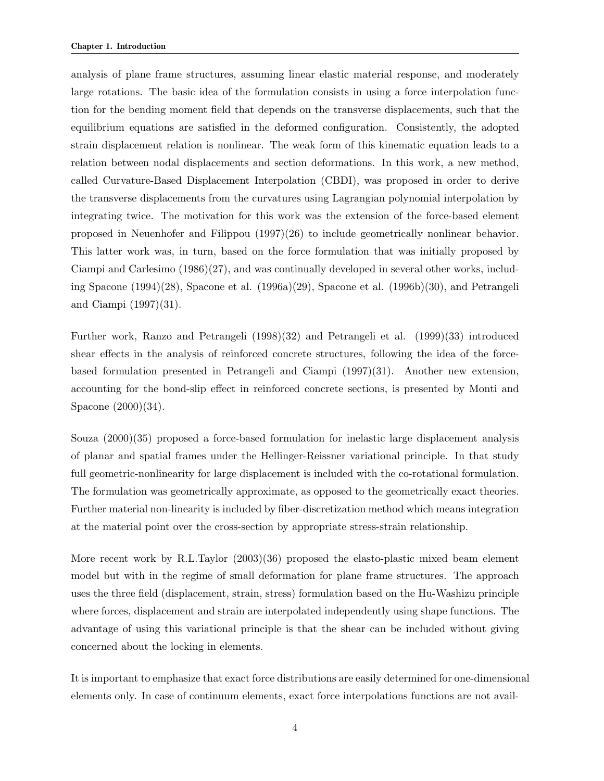analysis of plane frame structures, assuming linear elastic material response, and moderately large rotations. The basic idea of the formulation consists in using a force interpolation function for the bending moment field that depends on the transverse displacements, such that the equilibrium equations are satisfied in the deformed configuration. Consistently, the adopted strain displacement relation is nonlinear. The weak form of this kinematic equation leads to a relation between nodal displacements and section deformations. In this work, a new method, called Curvature-Based Displacement Interpolation (CBDI), was proposed in order to derive the transverse displacements from the curvatures using Lagrangian polynomial interpolation by integrating twice. The motivation for this work was the extension of the force-based element proposed in Neuenhofer and Filippou (1997)(26) to include geometrically nonlinear behavior. This latter work was, in turn, based on the force formulation that was initially proposed by Ciampi and Carlesimo (1986)(27), and was continually developed in several other works, including Spacone (1994)(28), Spacone et al. (1996a)(29), Spacone et al. (1996b)(30), and Petrangeli and Ciampi (1997)(31).

Further work, Ranzo and Petrangeli (1998)(32) and Petrangeli et al. (1999)(33) introduced shear effects in the analysis of reinforced concrete structures, following the idea of the forcebased formulation presented in Petrangeli and Ciampi (1997)(31). Another new extension, accounting for the bond-slip effect in reinforced concrete sections, is presented by Monti and Spacone (2000)(34).

Souza (2000)(35) proposed a force-based formulation for inelastic large displacement analysis of planar and spatial frames under the Hellinger-Reissner variational principle. In that study full geometric-nonlinearity for large displacement is included with the co-rotational formulation. The formulation was geometrically approximate, as opposed to the geometrically exact theories. Further material non-linearity is included by fiber-discretization method which means integration at the material point over the cross-section by appropriate stress-strain relationship.

More recent work by R.L.Taylor (2003)(36) proposed the elasto-plastic mixed beam element model but with in the regime of small deformation for plane frame structures. The approach uses the three field (displacement, strain, stress) formulation based on the Hu-Washizu principle where forces, displacement and strain are interpolated independently using shape functions. The advantage of using this variational principle is that the shear can be included without giving concerned about the locking in elements.

It is important to emphasize that exact force distributions are easily determined for one-dimensional elements only. In case of continuum elements, exact force interpolations functions are not avail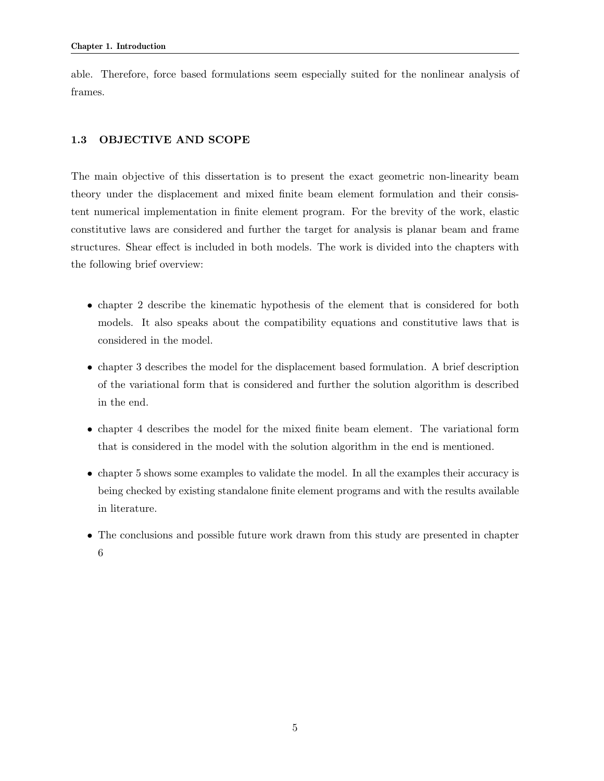able. Therefore, force based formulations seem especially suited for the nonlinear analysis of frames.

### 1.3 OBJECTIVE AND SCOPE

The main objective of this dissertation is to present the exact geometric non-linearity beam theory under the displacement and mixed finite beam element formulation and their consistent numerical implementation in finite element program. For the brevity of the work, elastic constitutive laws are considered and further the target for analysis is planar beam and frame structures. Shear effect is included in both models. The work is divided into the chapters with the following brief overview:

- chapter 2 describe the kinematic hypothesis of the element that is considered for both models. It also speaks about the compatibility equations and constitutive laws that is considered in the model.
- chapter 3 describes the model for the displacement based formulation. A brief description of the variational form that is considered and further the solution algorithm is described in the end.
- chapter 4 describes the model for the mixed finite beam element. The variational form that is considered in the model with the solution algorithm in the end is mentioned.
- chapter 5 shows some examples to validate the model. In all the examples their accuracy is being checked by existing standalone finite element programs and with the results available in literature.
- The conclusions and possible future work drawn from this study are presented in chapter 6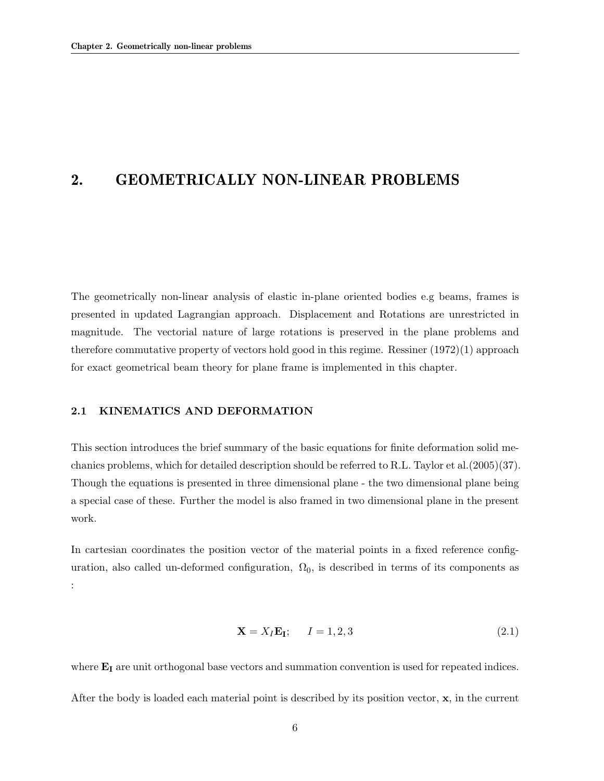### 2. GEOMETRICALLY NON-LINEAR PROBLEMS

The geometrically non-linear analysis of elastic in-plane oriented bodies e.g beams, frames is presented in updated Lagrangian approach. Displacement and Rotations are unrestricted in magnitude. The vectorial nature of large rotations is preserved in the plane problems and therefore commutative property of vectors hold good in this regime. Ressiner (1972)(1) approach for exact geometrical beam theory for plane frame is implemented in this chapter.

#### 2.1 KINEMATICS AND DEFORMATION

This section introduces the brief summary of the basic equations for finite deformation solid mechanics problems, which for detailed description should be referred to R.L. Taylor et al.(2005)(37). Though the equations is presented in three dimensional plane - the two dimensional plane being a special case of these. Further the model is also framed in two dimensional plane in the present work.

In cartesian coordinates the position vector of the material points in a fixed reference configuration, also called un-deformed configuration,  $\Omega_0$ , is described in terms of its components as :

$$
\mathbf{X} = X_I \mathbf{E}_I; \qquad I = 1, 2, 3 \tag{2.1}
$$

where  $E_I$  are unit orthogonal base vectors and summation convention is used for repeated indices. After the body is loaded each material point is described by its position vector, x, in the current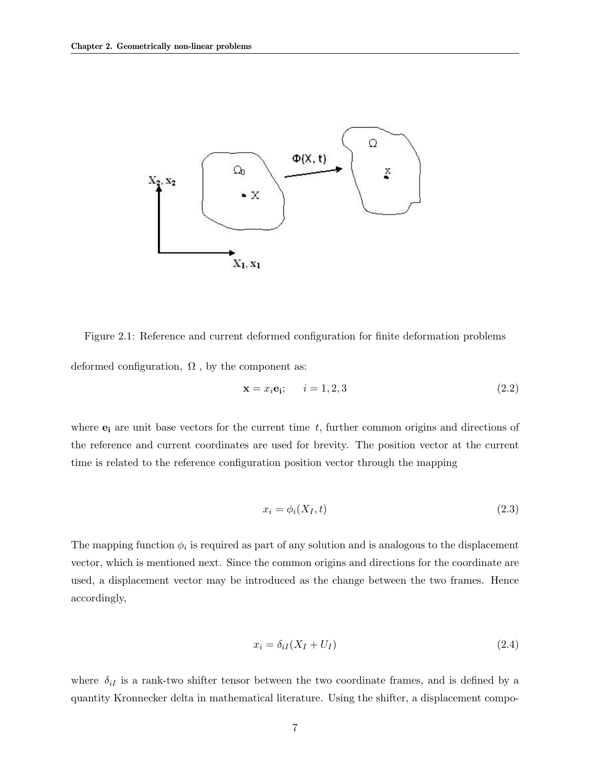

Figure 2.1: Reference and current deformed configuration for finite deformation problems deformed configuration,  $\Omega$ , by the component as:

$$
\mathbf{x} = x_i \mathbf{e_i}; \qquad i = 1, 2, 3 \tag{2.2}
$$

where  $e_i$  are unit base vectors for the current time t, further common origins and directions of the reference and current coordinates are used for brevity. The position vector at the current time is related to the reference configuration position vector through the mapping

$$
x_i = \phi_i(X_I, t) \tag{2.3}
$$

The mapping function  $\phi_i$  is required as part of any solution and is analogous to the displacement vector, which is mentioned next. Since the common origins and directions for the coordinate are used, a displacement vector may be introduced as the change between the two frames. Hence accordingly,

$$
x_i = \delta_{iI}(X_I + U_I) \tag{2.4}
$$

where  $\delta_{iI}$  is a rank-two shifter tensor between the two coordinate frames, and is defined by a quantity Kronnecker delta in mathematical literature. Using the shifter, a displacement compo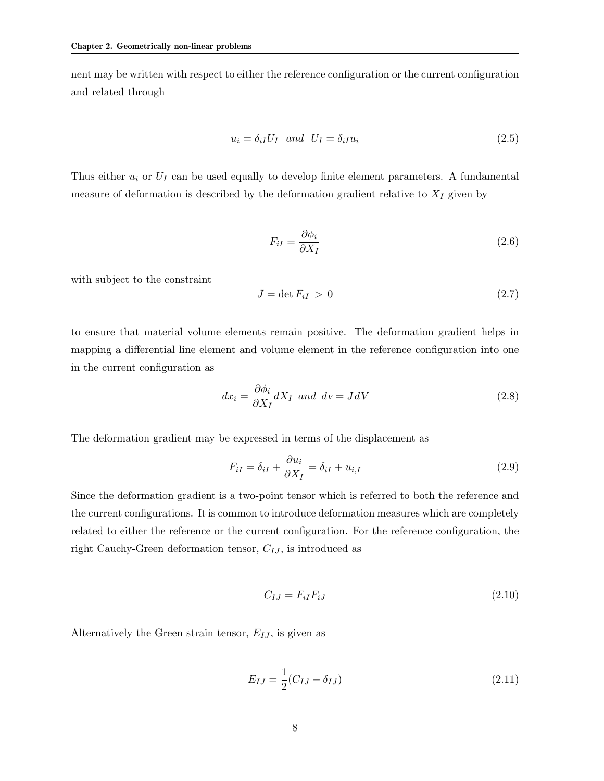nent may be written with respect to either the reference configuration or the current configuration and related through

$$
u_i = \delta_{iI} U_I \quad and \quad U_I = \delta_{iI} u_i \tag{2.5}
$$

Thus either  $u_i$  or  $U_I$  can be used equally to develop finite element parameters. A fundamental measure of deformation is described by the deformation gradient relative to  $X_I$  given by

$$
F_{iI} = \frac{\partial \phi_i}{\partial X_I} \tag{2.6}
$$

with subject to the constraint

$$
J = \det F_{iI} > 0 \tag{2.7}
$$

to ensure that material volume elements remain positive. The deformation gradient helps in mapping a differential line element and volume element in the reference configuration into one in the current configuration as

$$
dx_i = \frac{\partial \phi_i}{\partial X_I} dX_I \text{ and } dv = JdV \qquad (2.8)
$$

The deformation gradient may be expressed in terms of the displacement as

$$
F_{iI} = \delta_{iI} + \frac{\partial u_i}{\partial X_I} = \delta_{iI} + u_{i,I}
$$
\n(2.9)

Since the deformation gradient is a two-point tensor which is referred to both the reference and the current configurations. It is common to introduce deformation measures which are completely related to either the reference or the current configuration. For the reference configuration, the right Cauchy-Green deformation tensor,  $C_{IJ}$ , is introduced as

$$
C_{IJ} = F_{iI}F_{iJ} \tag{2.10}
$$

Alternatively the Green strain tensor,  $E_{IJ}$ , is given as

$$
E_{IJ} = \frac{1}{2}(C_{IJ} - \delta_{IJ})
$$
\n(2.11)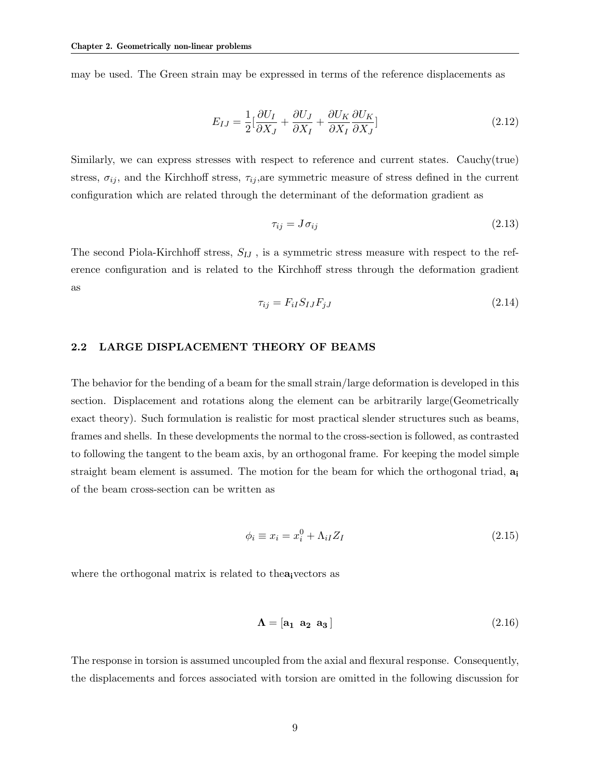may be used. The Green strain may be expressed in terms of the reference displacements as

$$
E_{IJ} = \frac{1}{2} \left[ \frac{\partial U_I}{\partial X_J} + \frac{\partial U_J}{\partial X_I} + \frac{\partial U_K}{\partial X_I} \frac{\partial U_K}{\partial X_J} \right]
$$
(2.12)

Similarly, we can express stresses with respect to reference and current states. Cauchy(true) stress,  $\sigma_{ij}$ , and the Kirchhoff stress,  $\tau_{ij}$ , are symmetric measure of stress defined in the current configuration which are related through the determinant of the deformation gradient as

$$
\tau_{ij} = J \sigma_{ij} \tag{2.13}
$$

The second Piola-Kirchhoff stress,  $S_{IJ}$ , is a symmetric stress measure with respect to the reference configuration and is related to the Kirchhoff stress through the deformation gradient as

$$
\tau_{ij} = F_{iI} S_{IJ} F_{jJ} \tag{2.14}
$$

#### 2.2 LARGE DISPLACEMENT THEORY OF BEAMS

The behavior for the bending of a beam for the small strain/large deformation is developed in this section. Displacement and rotations along the element can be arbitrarily large(Geometrically exact theory). Such formulation is realistic for most practical slender structures such as beams, frames and shells. In these developments the normal to the cross-section is followed, as contrasted to following the tangent to the beam axis, by an orthogonal frame. For keeping the model simple straight beam element is assumed. The motion for the beam for which the orthogonal triad,  $a_i$ of the beam cross-section can be written as

$$
\phi_i \equiv x_i = x_i^0 + \Lambda_{iI} Z_I \tag{2.15}
$$

where the orthogonal matrix is related to the a<sub>i</sub>vectors as

$$
\Lambda = \begin{bmatrix} a_1 & a_2 & a_3 \end{bmatrix} \tag{2.16}
$$

The response in torsion is assumed uncoupled from the axial and flexural response. Consequently, the displacements and forces associated with torsion are omitted in the following discussion for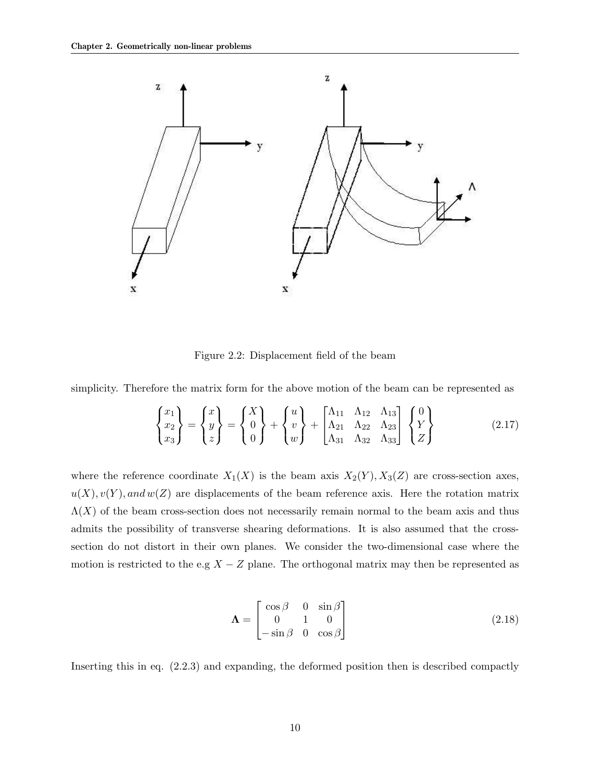

Figure 2.2: Displacement field of the beam

simplicity. Therefore the matrix form for the above motion of the beam can be represented as

$$
\begin{Bmatrix} x_1 \\ x_2 \\ x_3 \end{Bmatrix} = \begin{Bmatrix} x \\ y \\ z \end{Bmatrix} = \begin{Bmatrix} X \\ 0 \\ 0 \end{Bmatrix} + \begin{Bmatrix} u \\ v \\ w \end{Bmatrix} + \begin{bmatrix} \Lambda_{11} & \Lambda_{12} & \Lambda_{13} \\ \Lambda_{21} & \Lambda_{22} & \Lambda_{23} \\ \Lambda_{31} & \Lambda_{32} & \Lambda_{33} \end{bmatrix} \begin{Bmatrix} 0 \\ Y \\ Z \end{Bmatrix}
$$
 (2.17)

where the reference coordinate  $X_1(X)$  is the beam axis  $X_2(Y)$ ,  $X_3(Z)$  are cross-section axes,  $u(X), v(Y),$  and  $w(Z)$  are displacements of the beam reference axis. Here the rotation matrix  $\Lambda(X)$  of the beam cross-section does not necessarily remain normal to the beam axis and thus admits the possibility of transverse shearing deformations. It is also assumed that the crosssection do not distort in their own planes. We consider the two-dimensional case where the motion is restricted to the e.g  $X - Z$  plane. The orthogonal matrix may then be represented as

$$
\mathbf{\Lambda} = \begin{bmatrix} \cos \beta & 0 & \sin \beta \\ 0 & 1 & 0 \\ -\sin \beta & 0 & \cos \beta \end{bmatrix}
$$
 (2.18)

Inserting this in eq. (2.2.3) and expanding, the deformed position then is described compactly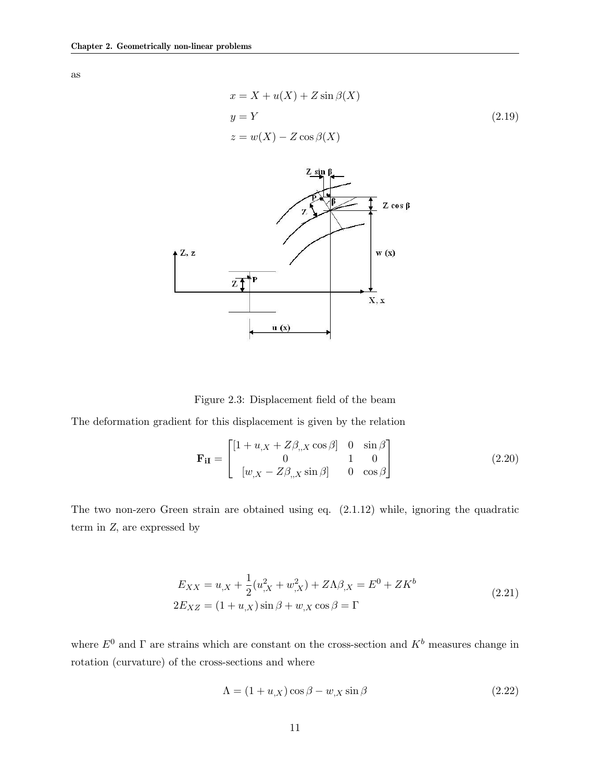as

$$
x = X + u(X) + Z \sin \beta(X)
$$
  
\n
$$
y = Y
$$
  
\n
$$
z = w(X) - Z \cos \beta(X)
$$
\n(2.19)



Figure 2.3: Displacement field of the beam

The deformation gradient for this displacement is given by the relation

$$
\mathbf{F}_{iI} = \begin{bmatrix} [1 + u_{,X} + Z\beta_{,X}\cos\beta] & 0 & \sin\beta \\ 0 & 1 & 0 \\ [w_{,X} - Z\beta_{,X}\sin\beta] & 0 & \cos\beta \end{bmatrix}
$$
(2.20)

The two non-zero Green strain are obtained using eq. (2.1.12) while, ignoring the quadratic term in Z, are expressed by

$$
E_{XX} = u_{,X} + \frac{1}{2}(u_{,X}^2 + w_{,X}^2) + Z\Lambda\beta_{,X} = E^0 + ZK^b
$$
  

$$
2E_{XZ} = (1 + u_{,X})\sin\beta + w_{,X}\cos\beta = \Gamma
$$
 (2.21)

where  $E^0$  and  $\Gamma$  are strains which are constant on the cross-section and  $K^b$  measures change in rotation (curvature) of the cross-sections and where

$$
\Lambda = (1 + u_{,X}) \cos \beta - w_{,X} \sin \beta \tag{2.22}
$$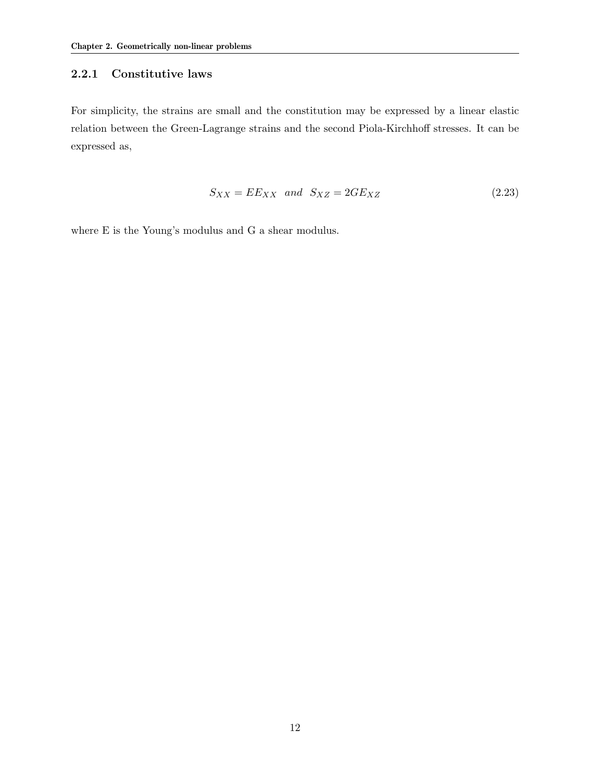### 2.2.1 Constitutive laws

For simplicity, the strains are small and the constitution may be expressed by a linear elastic relation between the Green-Lagrange strains and the second Piola-Kirchhoff stresses. It can be expressed as,

$$
S_{XX} = EE_{XX} \quad and \quad S_{XZ} = 2GE_{XZ} \tag{2.23}
$$

where E is the Young's modulus and G a shear modulus.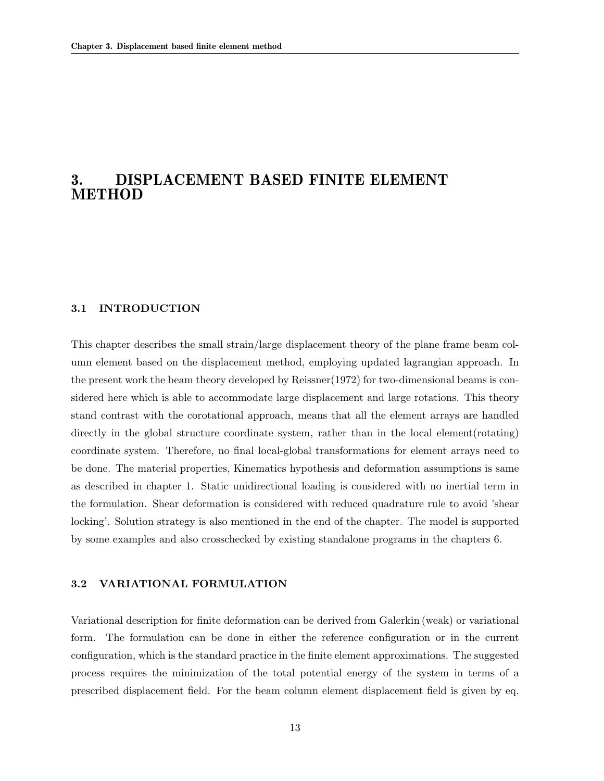### 3. DISPLACEMENT BASED FINITE ELEMENT **METHOD**

### 3.1 INTRODUCTION

This chapter describes the small strain/large displacement theory of the plane frame beam column element based on the displacement method, employing updated lagrangian approach. In the present work the beam theory developed by Reissner(1972) for two-dimensional beams is considered here which is able to accommodate large displacement and large rotations. This theory stand contrast with the corotational approach, means that all the element arrays are handled directly in the global structure coordinate system, rather than in the local element(rotating) coordinate system. Therefore, no final local-global transformations for element arrays need to be done. The material properties, Kinematics hypothesis and deformation assumptions is same as described in chapter 1. Static unidirectional loading is considered with no inertial term in the formulation. Shear deformation is considered with reduced quadrature rule to avoid 'shear locking'. Solution strategy is also mentioned in the end of the chapter. The model is supported by some examples and also crosschecked by existing standalone programs in the chapters 6.

#### 3.2 VARIATIONAL FORMULATION

Variational description for finite deformation can be derived from Galerkin (weak) or variational form. The formulation can be done in either the reference configuration or in the current configuration, which is the standard practice in the finite element approximations. The suggested process requires the minimization of the total potential energy of the system in terms of a prescribed displacement field. For the beam column element displacement field is given by eq.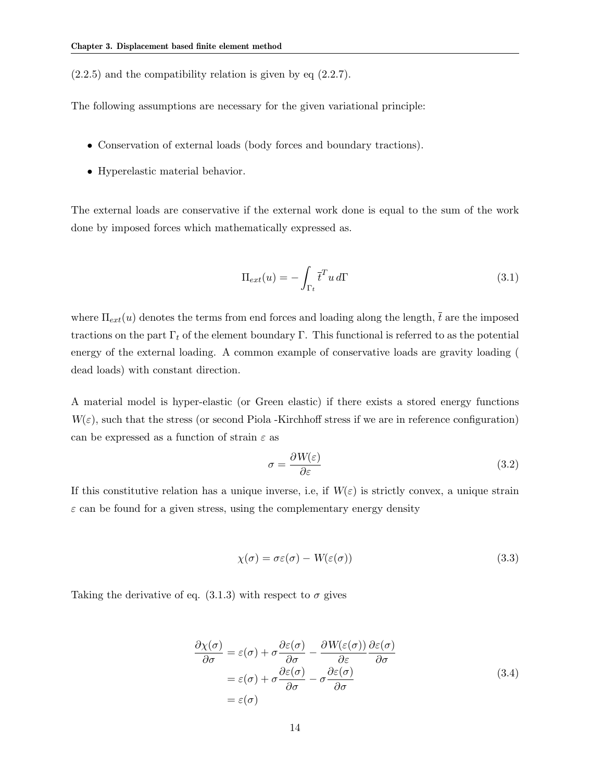$(2.2.5)$  and the compatibility relation is given by eq  $(2.2.7)$ .

The following assumptions are necessary for the given variational principle:

- Conservation of external loads (body forces and boundary tractions).
- Hyperelastic material behavior.

The external loads are conservative if the external work done is equal to the sum of the work done by imposed forces which mathematically expressed as.

$$
\Pi_{ext}(u) = -\int_{\Gamma_t} \bar{t}^T u \, d\Gamma \tag{3.1}
$$

where  $\Pi_{ext}(u)$  denotes the terms from end forces and loading along the length,  $\bar{t}$  are the imposed tractions on the part  $\Gamma_t$  of the element boundary Γ. This functional is referred to as the potential energy of the external loading. A common example of conservative loads are gravity loading ( dead loads) with constant direction.

A material model is hyper-elastic (or Green elastic) if there exists a stored energy functions  $W(\varepsilon)$ , such that the stress (or second Piola -Kirchhoff stress if we are in reference configuration) can be expressed as a function of strain  $\varepsilon$  as

$$
\sigma = \frac{\partial W(\varepsilon)}{\partial \varepsilon} \tag{3.2}
$$

If this constitutive relation has a unique inverse, i.e, if  $W(\varepsilon)$  is strictly convex, a unique strain  $\varepsilon$  can be found for a given stress, using the complementary energy density

$$
\chi(\sigma) = \sigma \varepsilon(\sigma) - W(\varepsilon(\sigma)) \tag{3.3}
$$

Taking the derivative of eq.  $(3.1.3)$  with respect to  $\sigma$  gives

$$
\frac{\partial \chi(\sigma)}{\partial \sigma} = \varepsilon(\sigma) + \sigma \frac{\partial \varepsilon(\sigma)}{\partial \sigma} - \frac{\partial W(\varepsilon(\sigma))}{\partial \varepsilon} \frac{\partial \varepsilon(\sigma)}{\partial \sigma} \n= \varepsilon(\sigma) + \sigma \frac{\partial \varepsilon(\sigma)}{\partial \sigma} - \sigma \frac{\partial \varepsilon(\sigma)}{\partial \sigma} \n= \varepsilon(\sigma)
$$
\n(3.4)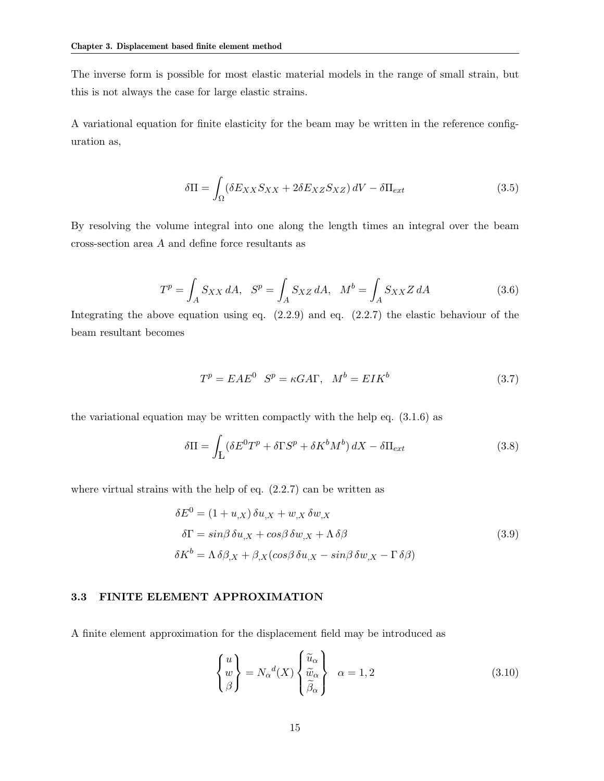The inverse form is possible for most elastic material models in the range of small strain, but this is not always the case for large elastic strains.

A variational equation for finite elasticity for the beam may be written in the reference configuration as,

$$
\delta\Pi = \int_{\Omega} (\delta E_{XX} S_{XX} + 2\delta E_{XZ} S_{XZ}) \, dV - \delta\Pi_{ext} \tag{3.5}
$$

By resolving the volume integral into one along the length times an integral over the beam cross-section area A and define force resultants as

$$
T^{p} = \int_{A} S_{XX} dA, \quad S^{p} = \int_{A} S_{XZ} dA, \quad M^{b} = \int_{A} S_{XXZ} dA \tag{3.6}
$$

Integrating the above equation using eq.  $(2.2.9)$  and eq.  $(2.2.7)$  the elastic behaviour of the beam resultant becomes

$$
T^{p} = EAE^{0} \quad S^{p} = \kappa G A \Gamma, \quad M^{b} = EIK^{b} \tag{3.7}
$$

the variational equation may be written compactly with the help eq. (3.1.6) as

$$
\delta \Pi = \int_{L} (\delta E^{0} T^{p} + \delta \Gamma S^{p} + \delta K^{b} M^{b}) dX - \delta \Pi_{ext}
$$
\n(3.8)

where virtual strains with the help of eq.  $(2.2.7)$  can be written as

$$
\delta E^{0} = (1 + u_{,X}) \delta u_{,X} + w_{,X} \delta w_{,X}
$$
  
\n
$$
\delta \Gamma = \sin \beta \delta u_{,X} + \cos \beta \delta w_{,X} + \Lambda \delta \beta
$$
  
\n
$$
\delta K^{b} = \Lambda \delta \beta_{,X} + \beta_{,X} (\cos \beta \delta u_{,X} - \sin \beta \delta w_{,X} - \Gamma \delta \beta)
$$
\n(3.9)

### 3.3 FINITE ELEMENT APPROXIMATION

A finite element approximation for the displacement field may be introduced as

$$
\begin{Bmatrix} u \\ w \\ \beta \end{Bmatrix} = N_{\alpha}{}^{d}(X) \begin{Bmatrix} \widetilde{u}_{\alpha} \\ \widetilde{v}_{\alpha} \\ \widetilde{\beta}_{\alpha} \end{Bmatrix} \quad \alpha = 1, 2 \tag{3.10}
$$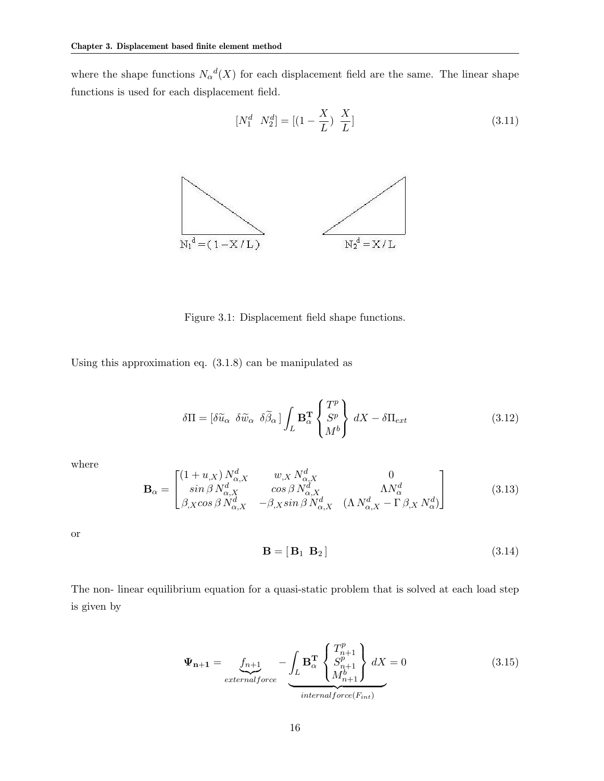where the shape functions  $N_{\alpha}{}^{d}(X)$  for each displacement field are the same. The linear shape functions is used for each displacement field.

$$
\begin{bmatrix} N_1^d & N_2^d \end{bmatrix} = \begin{bmatrix} (1 - \frac{X}{L}) & \frac{X}{L} \end{bmatrix} \tag{3.11}
$$



Figure 3.1: Displacement field shape functions.

Using this approximation eq. (3.1.8) can be manipulated as

$$
\delta\Pi = \begin{bmatrix} \delta \widetilde{u}_{\alpha} & \delta \widetilde{w}_{\alpha} & \delta \widetilde{\beta}_{\alpha} \end{bmatrix} \int_{L} \mathbf{B}_{\alpha}^{\mathbf{T}} \begin{Bmatrix} T^{p} \\ S^{p} \\ M^{b} \end{Bmatrix} dX - \delta \Pi_{ext} \tag{3.12}
$$

where

$$
\mathbf{B}_{\alpha} = \begin{bmatrix} (1+u_{,X}) N_{\alpha,X}^d & w_{,X} N_{\alpha,X}^d & 0\\ \sin \beta N_{\alpha,X}^d & \cos \beta N_{\alpha,X}^d & \Lambda N_{\alpha}^d\\ \beta_{,X} \cos \beta N_{\alpha,X}^d & -\beta_{,X} \sin \beta N_{\alpha,X}^d & (\Lambda N_{\alpha,X}^d - \Gamma \beta_{,X} N_{\alpha}^d) \end{bmatrix}
$$
(3.13)

or

$$
\mathbf{B} = [\mathbf{B}_1 \ \mathbf{B}_2] \tag{3.14}
$$

The non- linear equilibrium equation for a quasi-static problem that is solved at each load step is given by

$$
\Psi_{n+1} = \underbrace{f_{n+1}}_{externalforce} - \underbrace{\int_{L} \mathbf{B}_{\alpha}^{T} \begin{Bmatrix} T_{n+1}^{p} \\ S_{n+1}^{p} \\ M_{n+1}^{b} \end{Bmatrix}}_{internal force(F_{int})} dX = 0
$$
\n(3.15)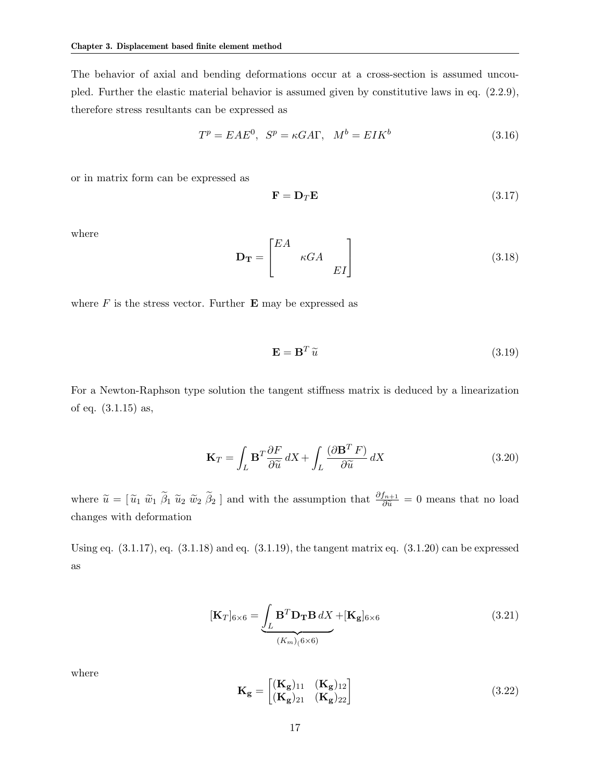The behavior of axial and bending deformations occur at a cross-section is assumed uncoupled. Further the elastic material behavior is assumed given by constitutive laws in eq. (2.2.9), therefore stress resultants can be expressed as

$$
T^{p} = EAE^{0}, \quad S^{p} = \kappa GA\Gamma, \quad M^{b} = EIK^{b}
$$
\n
$$
(3.16)
$$

or in matrix form can be expressed as

$$
\mathbf{F} = \mathbf{D}_T \mathbf{E} \tag{3.17}
$$

where

$$
\mathbf{D_T} = \begin{bmatrix} EA & & \\ & \kappa GA & \\ & & EI \end{bmatrix}
$$
 (3.18)

where  $F$  is the stress vector. Further  $E$  may be expressed as

$$
\mathbf{E} = \mathbf{B}^T \tilde{u} \tag{3.19}
$$

For a Newton-Raphson type solution the tangent stiffness matrix is deduced by a linearization of eq. (3.1.15) as,

$$
\mathbf{K}_{T} = \int_{L} \mathbf{B}^{T} \frac{\partial F}{\partial \widetilde{u}} dX + \int_{L} \frac{(\partial \mathbf{B}^{T} F)}{\partial \widetilde{u}} dX \qquad (3.20)
$$

where  $\tilde{u} = [\tilde{u}_1 \ \tilde{w}_1 \ \tilde{\beta}_1 \ \tilde{u}_2 \ \tilde{w}_2 \ \tilde{\beta}_2]$  and with the assumption that  $\frac{\partial f_{n+1}}{\partial \tilde{u}} = 0$  means that no load changes with deformation

Using eq.  $(3.1.17)$ , eq.  $(3.1.18)$  and eq.  $(3.1.19)$ , the tangent matrix eq.  $(3.1.20)$  can be expressed as

$$
[\mathbf{K}_{T}]_{6\times6} = \underbrace{\int_{L} \mathbf{B}^{T} \mathbf{D}_{\mathbf{T}} \mathbf{B} dX}_{(K_{m})(6\times6)} + [\mathbf{K}_{\mathbf{g}}]_{6\times6}
$$
(3.21)

where

$$
\mathbf{K}_{\mathbf{g}} = \begin{bmatrix} (\mathbf{K}_{\mathbf{g}})_{11} & (\mathbf{K}_{\mathbf{g}})_{12} \\ (\mathbf{K}_{\mathbf{g}})_{21} & (\mathbf{K}_{\mathbf{g}})_{22} \end{bmatrix}
$$
(3.22)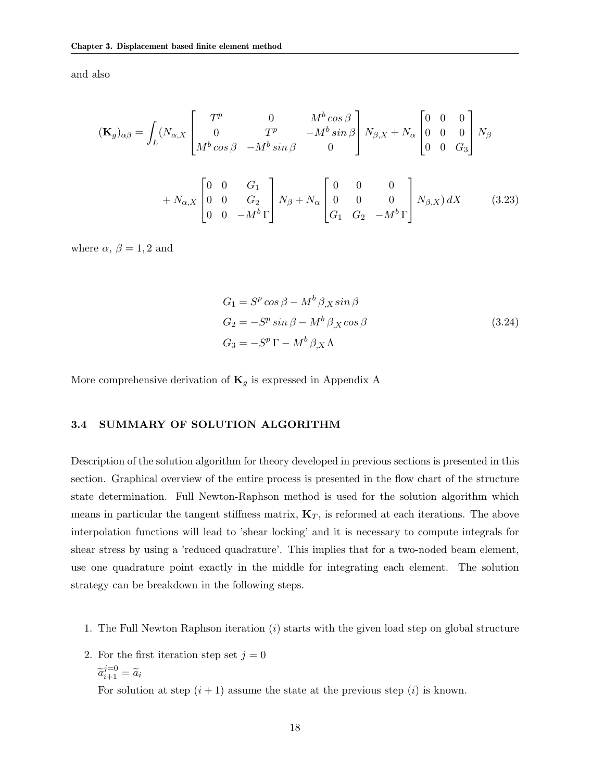and also

$$
(\mathbf{K}_{g})_{\alpha\beta} = \int_{L} (N_{\alpha,X} \begin{bmatrix} T^{p} & 0 & M^{b} \cos \beta \\ 0 & T^{p} & -M^{b} \sin \beta \\ M^{b} \cos \beta & -M^{b} \sin \beta & 0 \end{bmatrix} N_{\beta,X} + N_{\alpha} \begin{bmatrix} 0 & 0 & 0 \\ 0 & 0 & 0 \\ 0 & 0 & G_{3} \end{bmatrix} N_{\beta} + N_{\alpha,X} \begin{bmatrix} 0 & 0 & G_{1} \\ 0 & 0 & G_{2} \\ 0 & 0 & -M^{b} \Gamma \end{bmatrix} N_{\beta} + N_{\alpha} \begin{bmatrix} 0 & 0 & 0 \\ 0 & 0 & 0 \\ G_{1} & G_{2} & -M^{b} \Gamma \end{bmatrix} N_{\beta,X}) dX
$$
(3.23)

where  $\alpha$ ,  $\beta = 1, 2$  and

$$
G_1 = S^p \cos \beta - M^b \beta_{,X} \sin \beta
$$
  
\n
$$
G_2 = -S^p \sin \beta - M^b \beta_{,X} \cos \beta
$$
  
\n
$$
G_3 = -S^p \Gamma - M^b \beta_{,X} \Lambda
$$
\n(3.24)

More comprehensive derivation of  $\mathbf{K}_g$  is expressed in Appendix A

#### 3.4 SUMMARY OF SOLUTION ALGORITHM

Description of the solution algorithm for theory developed in previous sections is presented in this section. Graphical overview of the entire process is presented in the flow chart of the structure state determination. Full Newton-Raphson method is used for the solution algorithm which means in particular the tangent stiffness matrix,  $K_T$ , is reformed at each iterations. The above interpolation functions will lead to 'shear locking' and it is necessary to compute integrals for shear stress by using a 'reduced quadrature'. This implies that for a two-noded beam element, use one quadrature point exactly in the middle for integrating each element. The solution strategy can be breakdown in the following steps.

- 1. The Full Newton Raphson iteration  $(i)$  starts with the given load step on global structure
- 2. For the first iteration step set  $j = 0$  $\widetilde{a}_{i+1}^{j=0} = \widetilde{a}_i$

For solution at step  $(i + 1)$  assume the state at the previous step  $(i)$  is known.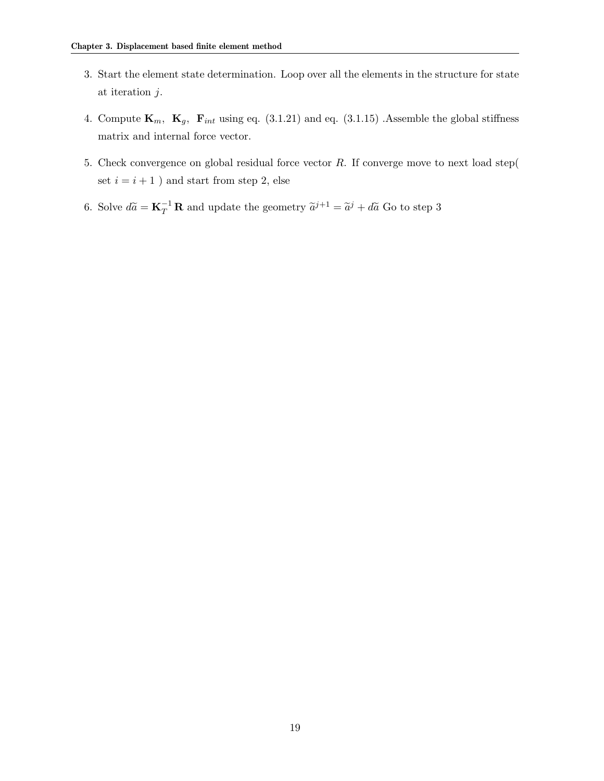- 3. Start the element state determination. Loop over all the elements in the structure for state at iteration j.
- 4. Compute  $\mathbf{K}_m$ ,  $\mathbf{K}_g$ ,  $\mathbf{F}_{int}$  using eq. (3.1.21) and eq. (3.1.15) .Assemble the global stiffness matrix and internal force vector.
- 5. Check convergence on global residual force vector  $R$ . If converge move to next load step( set  $i = i + 1$  ) and start from step 2, else
- 6. Solve  $d\tilde{a} = \mathbf{K}_T^{-1} \mathbf{R}$  and update the geometry  $\tilde{a}^{j+1} = \tilde{a}^j + d\tilde{a}$  Go to step 3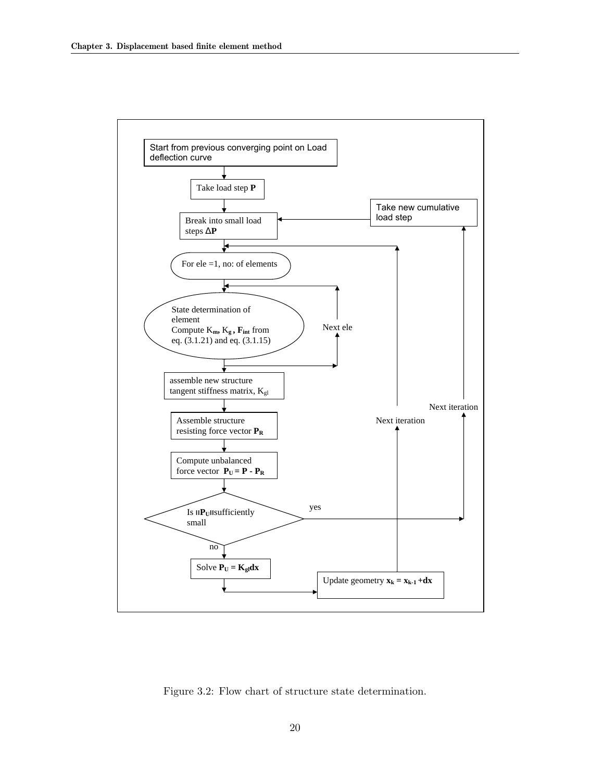

Figure 3.2: Flow chart of structure state determination.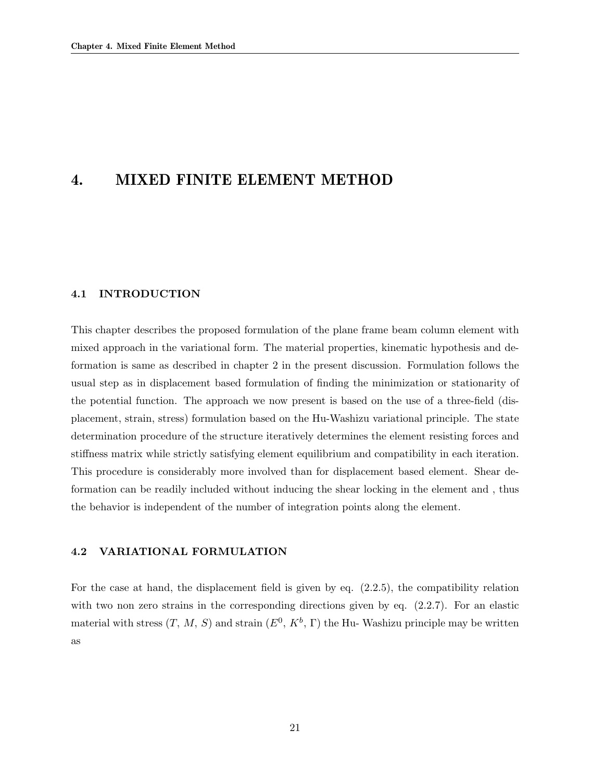### 4. MIXED FINITE ELEMENT METHOD

### 4.1 INTRODUCTION

This chapter describes the proposed formulation of the plane frame beam column element with mixed approach in the variational form. The material properties, kinematic hypothesis and deformation is same as described in chapter 2 in the present discussion. Formulation follows the usual step as in displacement based formulation of finding the minimization or stationarity of the potential function. The approach we now present is based on the use of a three-field (displacement, strain, stress) formulation based on the Hu-Washizu variational principle. The state determination procedure of the structure iteratively determines the element resisting forces and stiffness matrix while strictly satisfying element equilibrium and compatibility in each iteration. This procedure is considerably more involved than for displacement based element. Shear deformation can be readily included without inducing the shear locking in the element and , thus the behavior is independent of the number of integration points along the element.

#### 4.2 VARIATIONAL FORMULATION

For the case at hand, the displacement field is given by eq. (2.2.5), the compatibility relation with two non zero strains in the corresponding directions given by eq.  $(2.2.7)$ . For an elastic material with stress  $(T, M, S)$  and strain  $(E^0, K^b, \Gamma)$  the Hu-Washizu principle may be written as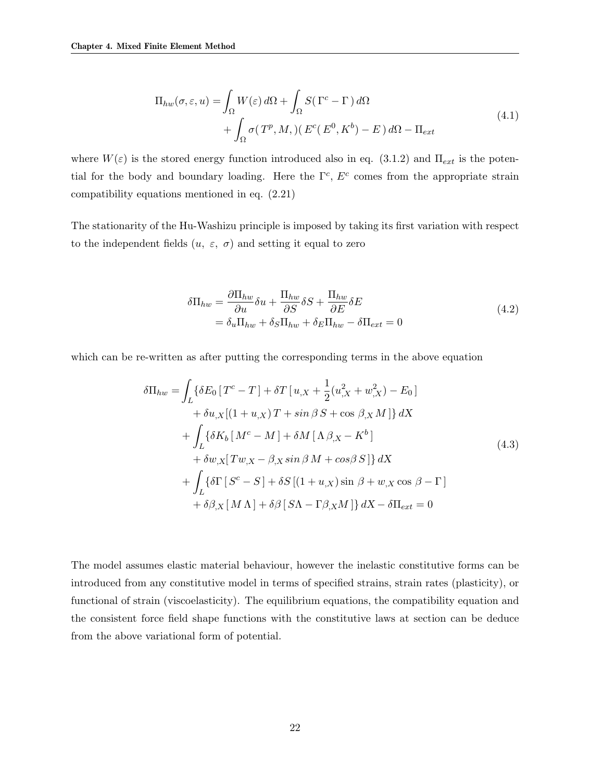$$
\Pi_{hw}(\sigma,\varepsilon,u) = \int_{\Omega} W(\varepsilon) d\Omega + \int_{\Omega} S(\Gamma^c - \Gamma) d\Omega + \int_{\Omega} \sigma(T^p, M,)(E^c(E^0, K^b) - E) d\Omega - \Pi_{ext}
$$
\n(4.1)

where  $W(\varepsilon)$  is the stored energy function introduced also in eq. (3.1.2) and  $\Pi_{ext}$  is the potential for the body and boundary loading. Here the  $\Gamma^c$ ,  $E^c$  comes from the appropriate strain compatibility equations mentioned in eq. (2.21)

The stationarity of the Hu-Washizu principle is imposed by taking its first variation with respect to the independent fields  $(u, \varepsilon, \sigma)$  and setting it equal to zero

$$
\delta \Pi_{hw} = \frac{\partial \Pi_{hw}}{\partial u} \delta u + \frac{\Pi_{hw}}{\partial S} \delta S + \frac{\Pi_{hw}}{\partial E} \delta E
$$
  
=  $\delta_u \Pi_{hw} + \delta_S \Pi_{hw} + \delta_E \Pi_{hw} - \delta \Pi_{ext} = 0$  (4.2)

which can be re-written as after putting the corresponding terms in the above equation

$$
\delta\Pi_{hw} = \int_{L} \{ \delta E_{0} [T^{c} - T] + \delta T [u_{,X} + \frac{1}{2} (u_{,X}^{2} + w_{,X}^{2}) - E_{0}] \n+ \delta u_{,X} [(1 + u_{,X}) T + \sin \beta S + \cos \beta_{,X} M] \} dX \n+ \int_{L} \{ \delta K_{b} [M^{c} - M] + \delta M [\Lambda \beta_{,X} - K^{b}] \n+ \delta w_{,X} [T w_{,X} - \beta_{,X} \sin \beta M + \cos \beta S] \} dX \n+ \int_{L} \{ \delta \Gamma [S^{c} - S] + \delta S [(1 + u_{,X}) \sin \beta + w_{,X} \cos \beta - \Gamma] \n+ \delta \beta_{,X} [M \Lambda] + \delta \beta [S \Lambda - \Gamma \beta_{,X} M] \} dX - \delta \Pi_{ext} = 0
$$
\n(4.3)

The model assumes elastic material behaviour, however the inelastic constitutive forms can be introduced from any constitutive model in terms of specified strains, strain rates (plasticity), or functional of strain (viscoelasticity). The equilibrium equations, the compatibility equation and the consistent force field shape functions with the constitutive laws at section can be deduce from the above variational form of potential.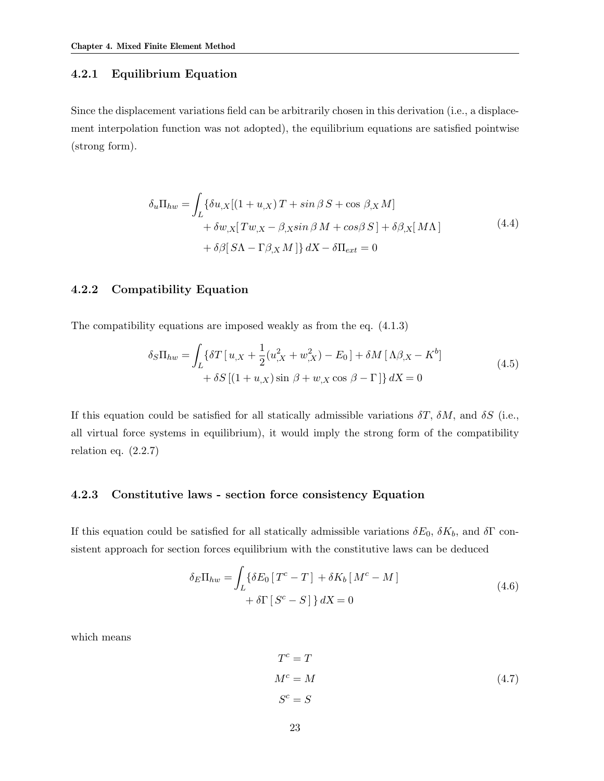### 4.2.1 Equilibrium Equation

Since the displacement variations field can be arbitrarily chosen in this derivation (i.e., a displacement interpolation function was not adopted), the equilibrium equations are satisfied pointwise (strong form).

$$
\delta_u \Pi_{hw} = \int_L \{ \delta u_{,X} [(1+u_{,X}) T + \sin \beta S + \cos \beta_{,X} M] + \delta w_{,X} [T w_{,X} - \beta_{,X} \sin \beta M + \cos \beta S] + \delta \beta_{,X} [M \Lambda] + \delta \beta [S \Lambda - \Gamma \beta_{,X} M] \} dX - \delta \Pi_{ext} = 0
$$
\n(4.4)

### 4.2.2 Compatibility Equation

The compatibility equations are imposed weakly as from the eq. (4.1.3)

$$
\delta_S \Pi_{hw} = \int_L \{ \delta T \left[ u_{,X} + \frac{1}{2} (u_{,X}^2 + w_{,X}^2) - E_0 \right] + \delta M \left[ \Lambda \beta_{,X} - K^b \right] + \delta S \left[ (1 + u_{,X}) \sin \beta + w_{,X} \cos \beta - \Gamma \right] \} dX = 0
$$
\n(4.5)

If this equation could be satisfied for all statically admissible variations  $\delta T$ ,  $\delta M$ , and  $\delta S$  (i.e., all virtual force systems in equilibrium), it would imply the strong form of the compatibility relation eq.  $(2.2.7)$ 

### 4.2.3 Constitutive laws - section force consistency Equation

If this equation could be satisfied for all statically admissible variations  $\delta E_0$ ,  $\delta K_b$ , and  $\delta \Gamma$  consistent approach for section forces equilibrium with the constitutive laws can be deduced

$$
\delta_E \Pi_{hw} = \int_L \{ \delta E_0 \left[ T^c - T \right] + \delta K_b \left[ M^c - M \right] + \delta \Gamma \left[ S^c - S \right] \} dX = 0 \tag{4.6}
$$

which means

$$
T^{c} = T
$$
  
\n
$$
M^{c} = M
$$
  
\n
$$
S^{c} = S
$$
\n(4.7)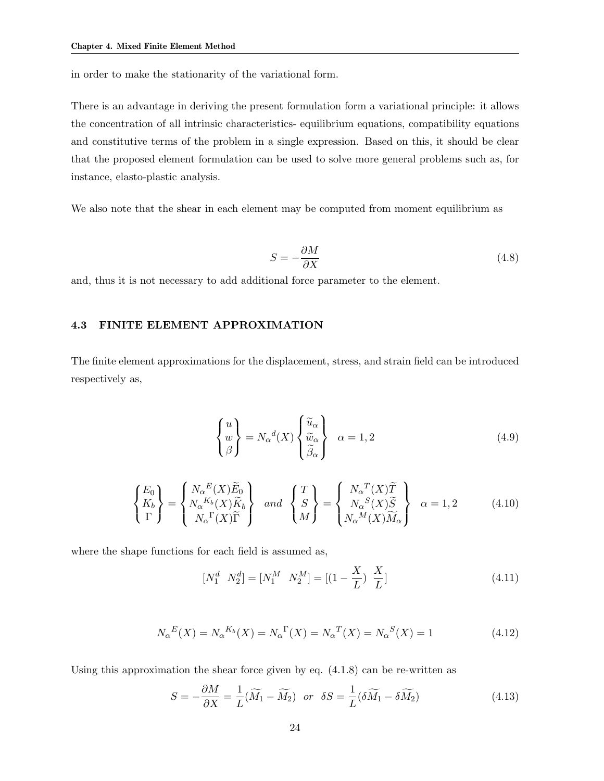in order to make the stationarity of the variational form.

There is an advantage in deriving the present formulation form a variational principle: it allows the concentration of all intrinsic characteristics- equilibrium equations, compatibility equations and constitutive terms of the problem in a single expression. Based on this, it should be clear that the proposed element formulation can be used to solve more general problems such as, for instance, elasto-plastic analysis.

We also note that the shear in each element may be computed from moment equilibrium as

$$
S = -\frac{\partial M}{\partial X} \tag{4.8}
$$

and, thus it is not necessary to add additional force parameter to the element.

### 4.3 FINITE ELEMENT APPROXIMATION

The finite element approximations for the displacement, stress, and strain field can be introduced respectively as,

$$
\begin{Bmatrix} u \\ w \\ \beta \end{Bmatrix} = N_{\alpha}{}^{d}(X) \begin{Bmatrix} \widetilde{u}_{\alpha} \\ \widetilde{v}_{\alpha} \\ \widetilde{\beta}_{\alpha} \end{Bmatrix} \quad \alpha = 1, 2 \tag{4.9}
$$

$$
\begin{Bmatrix} E_0 \\ K_b \\ \Gamma \end{Bmatrix} = \begin{Bmatrix} N_{\alpha}{}^{E}(X)\widetilde{E}_0 \\ N_{\alpha}{}^{K_b}(X)\widetilde{K}_b \\ N_{\alpha}{}^{\Gamma}(X)\widetilde{\Gamma} \end{Bmatrix} \quad and \quad \begin{Bmatrix} T \\ S \\ M \end{Bmatrix} = \begin{Bmatrix} N_{\alpha}{}^{T}(X)\widetilde{T} \\ N_{\alpha}{}^{S}(X)\widetilde{S} \\ N_{\alpha}{}^{M}(X)\widetilde{M}_{\alpha} \end{Bmatrix} \quad \alpha = 1, 2 \quad (4.10)
$$

where the shape functions for each field is assumed as,

$$
\begin{bmatrix} N_1^d & N_2^d \end{bmatrix} = \begin{bmatrix} N_1^M & N_2^M \end{bmatrix} = \begin{bmatrix} (1 - \frac{X}{L}) & \frac{X}{L} \end{bmatrix} \tag{4.11}
$$

$$
N_{\alpha}{}^{E}(X) = N_{\alpha}{}^{K_b}(X) = N_{\alpha}{}^{\Gamma}(X) = N_{\alpha}{}^{T}(X) = N_{\alpha}{}^{S}(X) = 1
$$
\n(4.12)

Using this approximation the shear force given by eq.  $(4.1.8)$  can be re-written as

$$
S = -\frac{\partial M}{\partial X} = \frac{1}{L}(\widetilde{M}_1 - \widetilde{M}_2) \quad \text{or} \quad \delta S = \frac{1}{L}(\delta \widetilde{M}_1 - \delta \widetilde{M}_2) \tag{4.13}
$$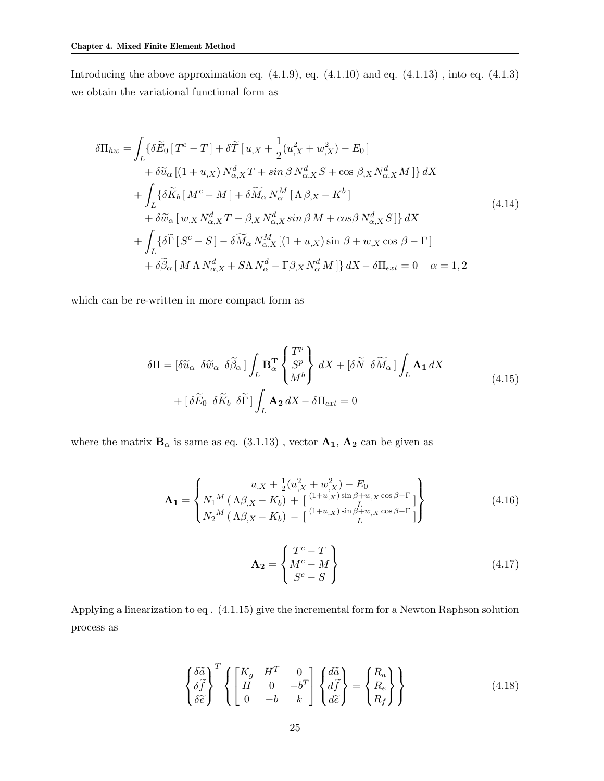Introducing the above approximation eq.  $(4.1.9)$ , eq.  $(4.1.10)$  and eq.  $(4.1.13)$ , into eq.  $(4.1.3)$ we obtain the variational functional form as

$$
\delta\Pi_{hw} = \int_{L} \{ \delta \widetilde{E}_{0} [T^{c} - T] + \delta \widetilde{T} [u_{,X} + \frac{1}{2} (u_{,X}^{2} + w_{,X}^{2}) - E_{0}] \n+ \delta \widetilde{u}_{\alpha} [(1 + u_{,X}) N^{d}_{\alpha, X} T + \sin \beta N^{d}_{\alpha, X} S + \cos \beta_{,X} N^{d}_{\alpha, X} M] \} dX \n+ \int_{L} \{ \delta \widetilde{K}_{b} [M^{c} - M] + \delta \widetilde{M}_{\alpha} N^{M}_{\alpha} [ \Lambda \beta_{,X} - K^{b}] \n+ \delta \widetilde{w}_{\alpha} [w_{,X} N^{d}_{\alpha, X} T - \beta_{,X} N^{d}_{\alpha, X} \sin \beta M + \cos \beta N^{d}_{\alpha, X} S] \} dX \n+ \int_{L} \{ \delta \widetilde{\Gamma} [S^{c} - S] - \delta \widetilde{M}_{\alpha} N^{M}_{\alpha, X} [(1 + u_{,X}) \sin \beta + w_{,X} \cos \beta - \Gamma] \n+ \delta \widetilde{\beta}_{\alpha} [M \Lambda N^{d}_{\alpha, X} + S \Lambda N^{d}_{\alpha} - \Gamma \beta_{,X} N^{d}_{\alpha} M] \} dX - \delta \Pi_{ext} = 0 \quad \alpha = 1, 2
$$
\n(4.14)

which can be re-written in more compact form as

$$
\delta\Pi = \left[\delta\widetilde{u}_{\alpha} \ \delta\widetilde{w}_{\alpha} \ \delta\widetilde{\beta}_{\alpha}\right] \int_{L} \mathbf{B}_{\alpha}^{T} \begin{Bmatrix} T^{p} \\ S^{p} \\ M^{b} \end{Bmatrix} dX + \left[\delta\widetilde{N} \ \delta\widetilde{M}_{\alpha}\right] \int_{L} \mathbf{A}_{1} dX
$$
\n
$$
+ \left[\delta\widetilde{E}_{0} \ \delta\widetilde{K}_{b} \ \delta\widetilde{\Gamma}\right] \int_{L} \mathbf{A}_{2} dX - \delta\Pi_{ext} = 0
$$
\n(4.15)

where the matrix  $\mathbf{B}_{\alpha}$  is same as eq. (3.1.13), vector  $\mathbf{A}_{1}$ ,  $\mathbf{A}_{2}$  can be given as

$$
\mathbf{A_1} = \begin{Bmatrix} u_{,X} + \frac{1}{2} (u_{,X}^2 + w_{,X}^2) - E_0 \\ N_1^M (\Lambda \beta_{,X} - K_b) + \left[ \frac{(1+u_{,X}) \sin \beta + w_{,X} \cos \beta - \Gamma}{L} \right] \\ N_2^M (\Lambda \beta_{,X} - K_b) - \left[ \frac{(1+u_{,X}) \sin \beta + w_{,X} \cos \beta - \Gamma}{L} \right] \end{Bmatrix}
$$
(4.16)

$$
\mathbf{A_2} = \begin{Bmatrix} T^c - T \\ M^c - M \\ S^c - S \end{Bmatrix}
$$
 (4.17)

Applying a linearization to eq . (4.1.15) give the incremental form for a Newton Raphson solution process as

$$
\begin{Bmatrix}\n\delta \widetilde{a} \\
\delta \widetilde{f} \\
\delta \widetilde{e}\n\end{Bmatrix}^T \left\{ \begin{bmatrix}\nK_g & H^T & 0 \\
H & 0 & -b^T \\
0 & -b & k\n\end{bmatrix} \begin{Bmatrix}\nd \widetilde{a} \\
d \widetilde{f} \\
d \widetilde{e}\n\end{Bmatrix} = \begin{Bmatrix}\nR_a \\
R_e \\
R_f\n\end{Bmatrix} \right\}
$$
\n(4.18)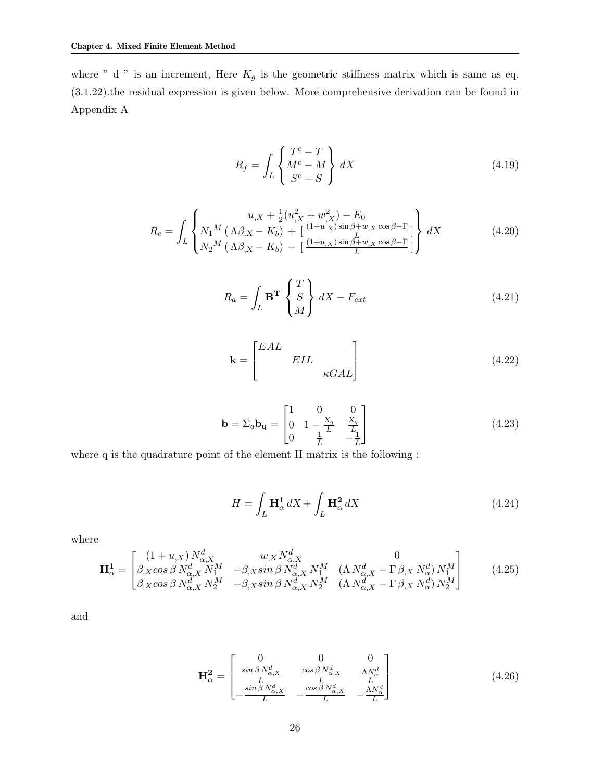where " d " is an increment, Here  $K_g$  is the geometric stiffness matrix which is same as eq. (3.1.22).the residual expression is given below. More comprehensive derivation can be found in Appendix A

$$
R_f = \int_L \begin{Bmatrix} T^c - T \\ M^c - M \\ S^c - S \end{Bmatrix} dX \tag{4.19}
$$

$$
R_e = \int_L \begin{cases} u_{,X} + \frac{1}{2} (u_{,X}^2 + w_{,X}^2) - E_0 \\ N_1^M (\Lambda \beta_{,X} - K_b) + \left[ \frac{(1+u_{,X}) \sin \beta + w_{,X} \cos \beta - \Gamma}{L} \right] \\ N_2^M (\Lambda \beta_{,X} - K_b) - \left[ \frac{(1+u_{,X}) \sin \beta + w_{,X} \cos \beta - \Gamma}{L} \right] \end{cases} dX \tag{4.20}
$$

$$
R_a = \int_L \mathbf{B}^T \begin{Bmatrix} T \\ S \\ M \end{Bmatrix} dX - F_{ext}
$$
 (4.21)

$$
\mathbf{k} = \begin{bmatrix} EAL & & \\ & EIL & \\ & & \kappa GAL \end{bmatrix}
$$
 (4.22)

$$
\mathbf{b} = \Sigma_q \mathbf{b_q} = \begin{bmatrix} 1 & 0 & 0 \\ 0 & 1 - \frac{X_q}{L} & \frac{X_q}{L} \\ 0 & \frac{1}{L} & -\frac{1}{L} \end{bmatrix}
$$
(4.23)

where q is the quadrature point of the element H matrix is the following :

$$
H = \int_{L} \mathbf{H}_{\alpha}^{1} dX + \int_{L} \mathbf{H}_{\alpha}^{2} dX \qquad (4.24)
$$

where

$$
\mathbf{H}_{\alpha}^{\mathbf{1}} = \begin{bmatrix} (1+u_{,X}) N_{\alpha,X}^{d} & w_{,X} N_{\alpha,X}^{d} & 0\\ \beta_{,X} \cos \beta N_{\alpha,X}^{d} N_{1}^{M} & -\beta_{,X} \sin \beta N_{\alpha,X}^{d} N_{1}^{M} & (\Lambda N_{\alpha,X}^{d} - \Gamma \beta_{,X} N_{\alpha}^{d}) N_{1}^{M} \\ \beta_{,X} \cos \beta N_{\alpha,X}^{d} N_{2}^{M} & -\beta_{,X} \sin \beta N_{\alpha,X}^{d} N_{2}^{M} & (\Lambda N_{\alpha,X}^{d} - \Gamma \beta_{,X} N_{\alpha}^{d}) N_{2}^{M} \end{bmatrix}
$$
(4.25)

and

$$
\mathbf{H}_{\alpha}^{2} = \begin{bmatrix} 0 & 0 & 0 \\ \frac{\sin \beta N_{\alpha,X}^{d}}{L} & \frac{\cos \beta N_{\alpha,X}^{d}}{L} & \frac{\Lambda N_{\alpha}^{d}}{L} \\ -\frac{\sin \beta N_{\alpha,X}^{d}}{L} & -\frac{\cos \beta N_{\alpha,X}^{d}}{L} & -\frac{\Lambda N_{\alpha}^{d}}{L} \end{bmatrix}
$$
(4.26)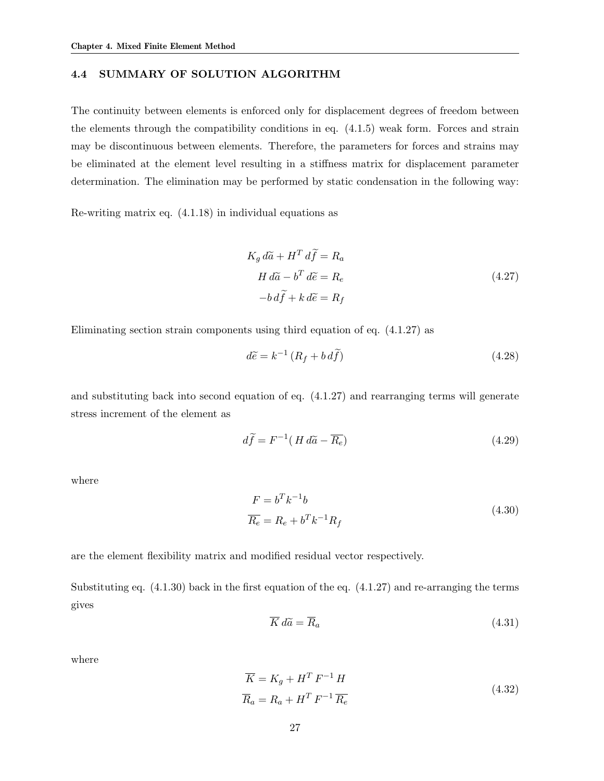#### 4.4 SUMMARY OF SOLUTION ALGORITHM

The continuity between elements is enforced only for displacement degrees of freedom between the elements through the compatibility conditions in eq. (4.1.5) weak form. Forces and strain may be discontinuous between elements. Therefore, the parameters for forces and strains may be eliminated at the element level resulting in a stiffness matrix for displacement parameter determination. The elimination may be performed by static condensation in the following way:

Re-writing matrix eq. (4.1.18) in individual equations as

$$
K_g d\tilde{a} + H^T d\tilde{f} = R_a
$$
  
\n
$$
H d\tilde{a} - b^T d\tilde{e} = R_e
$$
  
\n
$$
-b d\tilde{f} + k d\tilde{e} = R_f
$$
\n(4.27)

Eliminating section strain components using third equation of eq. (4.1.27) as

$$
d\tilde{e} = k^{-1} \left( R_f + b \, d\tilde{f} \right) \tag{4.28}
$$

and substituting back into second equation of eq. (4.1.27) and rearranging terms will generate stress increment of the element as

$$
d\tilde{f} = F^{-1}(H d\tilde{a} - \overline{R_e})
$$
\n(4.29)

where

$$
F = b^T k^{-1} b
$$
  
\n
$$
\overline{R_e} = R_e + b^T k^{-1} R_f
$$
\n(4.30)

are the element flexibility matrix and modified residual vector respectively.

Substituting eq.  $(4.1.30)$  back in the first equation of the eq.  $(4.1.27)$  and re-arranging the terms gives

$$
\overline{K} d\widetilde{a} = \overline{R}_a \tag{4.31}
$$

where

$$
\overline{K} = K_g + H^T F^{-1} H
$$
\n
$$
\overline{R}_a = R_a + H^T F^{-1} \overline{R_e}
$$
\n(4.32)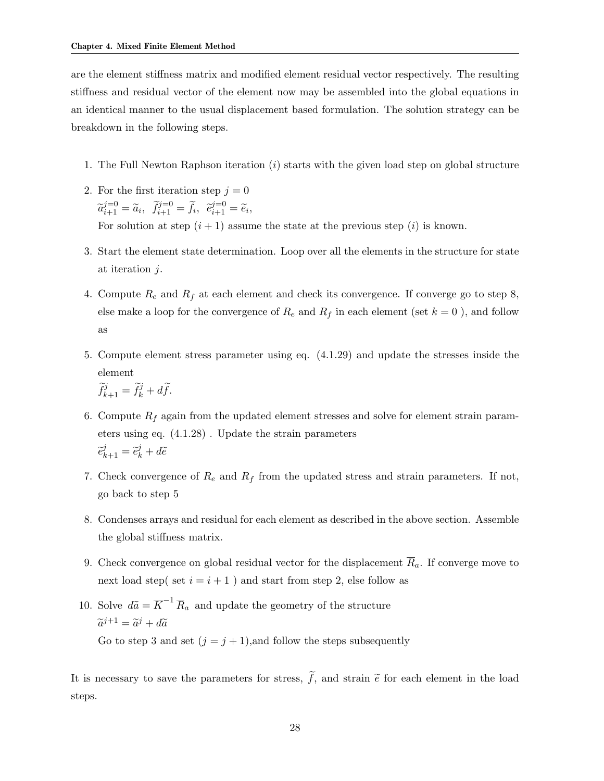are the element stiffness matrix and modified element residual vector respectively. The resulting stiffness and residual vector of the element now may be assembled into the global equations in an identical manner to the usual displacement based formulation. The solution strategy can be breakdown in the following steps.

- 1. The Full Newton Raphson iteration (i) starts with the given load step on global structure
- 2. For the first iteration step  $j = 0$  $\widetilde{a}_{i+1}^{j=0} = \widetilde{a}_i$ ,  $\widetilde{f}_{i+1}^{j=0} = \widetilde{f}_i$ ,  $\widetilde{e}_{i+1}^{j=0} = \widetilde{e}_i$ , For solution at step  $(i + 1)$  assume the state at the previous step (i) is known.
- 3. Start the element state determination. Loop over all the elements in the structure for state at iteration j.
- 4. Compute  $R_e$  and  $R_f$  at each element and check its convergence. If converge go to step 8, else make a loop for the convergence of  $R_e$  and  $R_f$  in each element (set  $k = 0$  ), and follow as
- 5. Compute element stress parameter using eq. (4.1.29) and update the stresses inside the element

$$
\widetilde{f}_{k+1}^j = \widetilde{f}_k^j + d\widetilde{f}.
$$

- 6. Compute  $R_f$  again from the updated element stresses and solve for element strain parameters using eq. (4.1.28) . Update the strain parameters  $\widetilde{e}_{k+1}^j = \widetilde{e}_k^j + d\widetilde{e}$
- 7. Check convergence of  $R_e$  and  $R_f$  from the updated stress and strain parameters. If not, go back to step 5
- 8. Condenses arrays and residual for each element as described in the above section. Assemble the global stiffness matrix.
- 9. Check convergence on global residual vector for the displacement  $\overline{R}_a$ . If converge move to next load step( set  $i = i + 1$  ) and start from step 2, else follow as
- 10. Solve  $d\tilde{a} = \overline{K}^{-1} \overline{R}_a$  and update the geometry of the structure  $\widetilde{a}^{j+1} = \widetilde{a}^j + d\widetilde{a}$ Go to step 3 and set  $(j = j + 1)$ , and follow the steps subsequently

It is necessary to save the parameters for stress,  $\tilde{f}$ , and strain  $\tilde{e}$  for each element in the load steps.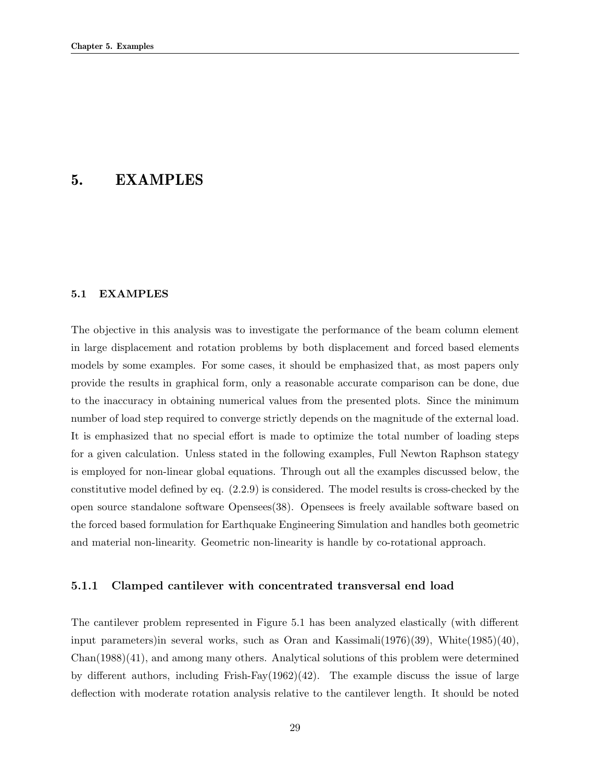### 5. EXAMPLES

#### 5.1 EXAMPLES

The objective in this analysis was to investigate the performance of the beam column element in large displacement and rotation problems by both displacement and forced based elements models by some examples. For some cases, it should be emphasized that, as most papers only provide the results in graphical form, only a reasonable accurate comparison can be done, due to the inaccuracy in obtaining numerical values from the presented plots. Since the minimum number of load step required to converge strictly depends on the magnitude of the external load. It is emphasized that no special effort is made to optimize the total number of loading steps for a given calculation. Unless stated in the following examples, Full Newton Raphson stategy is employed for non-linear global equations. Through out all the examples discussed below, the constitutive model defined by eq. (2.2.9) is considered. The model results is cross-checked by the open source standalone software Opensees(38). Opensees is freely available software based on the forced based formulation for Earthquake Engineering Simulation and handles both geometric and material non-linearity. Geometric non-linearity is handle by co-rotational approach.

### 5.1.1 Clamped cantilever with concentrated transversal end load

The cantilever problem represented in Figure 5.1 has been analyzed elastically (with different input parameters)in several works, such as Oran and Kassimali $(1976)(39)$ , White $(1985)(40)$ , Chan(1988)(41), and among many others. Analytical solutions of this problem were determined by different authors, including Frish-Fay $(1962)(42)$ . The example discuss the issue of large deflection with moderate rotation analysis relative to the cantilever length. It should be noted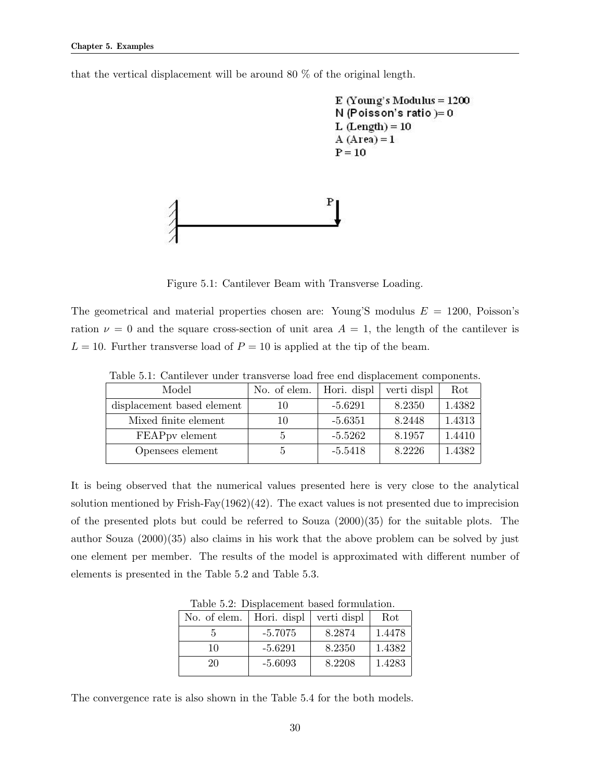that the vertical displacement will be around 80 % of the original length.

```
E (Young's Modulus = 1200
N (Poisson's ratio)= 0L (Length) = 10
A (Area) = 1P = 10
```


Figure 5.1: Cantilever Beam with Transverse Loading.

The geometrical and material properties chosen are: Young'S modulus  $E = 1200$ , Poisson's ration  $\nu = 0$  and the square cross-section of unit area  $A = 1$ , the length of the cantilever is  $L = 10$ . Further transverse load of  $P = 10$  is applied at the tip of the beam.

| Table 5.1: Cantilever under transverse load free end displacement components. |  |  |  |  |  |
|-------------------------------------------------------------------------------|--|--|--|--|--|
|                                                                               |  |  |  |  |  |

| Model                      | No. of elem. | Hori. displ | verti displ | Rot    |
|----------------------------|--------------|-------------|-------------|--------|
| displacement based element | 10           | $-5.6291$   | 8.2350      | 1.4382 |
| Mixed finite element       | 10           | $-5.6351$   | 8.2448      | 1.4313 |
| FEAPpy element             |              | $-5.5262$   | 8.1957      | 1.4410 |
| Opensees element           |              | $-5.5418$   | 8.2226      | 1.4382 |

It is being observed that the numerical values presented here is very close to the analytical solution mentioned by Frish-Fay $(1962)(42)$ . The exact values is not presented due to imprecision of the presented plots but could be referred to Souza (2000)(35) for the suitable plots. The author Souza (2000)(35) also claims in his work that the above problem can be solved by just one element per member. The results of the model is approximated with different number of elements is presented in the Table 5.2 and Table 5.3.

Table 5.2: Displacement based formulation.

| No. of elem. | Hori. displ | verti displ | Rot    |
|--------------|-------------|-------------|--------|
|              | $-5.7075$   | 8.2874      | 1.4478 |
| 10           | $-5.6291$   | 8.2350      | 1.4382 |
| 20           | $-5.6093$   | 8.2208      | 1.4283 |

The convergence rate is also shown in the Table 5.4 for the both models.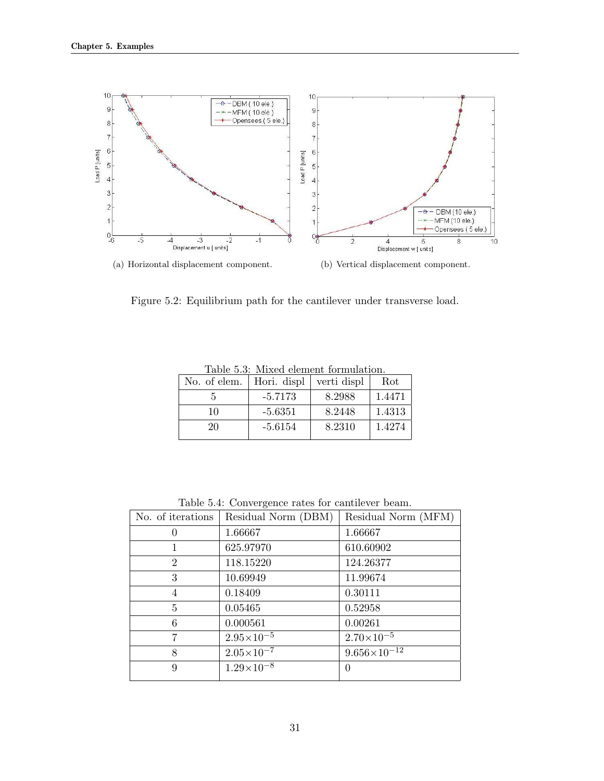

Figure 5.2: Equilibrium path for the cantilever under transverse load.

| Hori. displ | verti displ | Rot    |
|-------------|-------------|--------|
| $-5.7173$   | 8.2988      | 1.4471 |
| $-5.6351$   | 8.2448      | 1.4313 |
| $-5.6154$   | 8.2310      | 1.4274 |
|             |             |        |

Table 5.3: Mixed element formulation.

Table 5.4: Convergence rates for cantilever beam.

| No. of iterations | Residual Norm (DBM)   | Residual Norm (MFM)   |
|-------------------|-----------------------|-----------------------|
| $\theta$          | 1.66667               | 1.66667               |
|                   | 625.97970             | 610.60902             |
| $\overline{2}$    | 118.15220             | 124.26377             |
| 3                 | 10.69949              | 11.99674              |
| $\overline{4}$    | 0.18409               | 0.30111               |
| 5                 | 0.05465               | 0.52958               |
| 6                 | 0.000561              | 0.00261               |
| 7                 | $2.95 \times 10^{-5}$ | $2.70\times10^{-5}$   |
| 8                 | $2.05 \times 10^{-7}$ | $9.656\times10^{-12}$ |
| 9                 | $1.29\times10^{-8}$   | 0                     |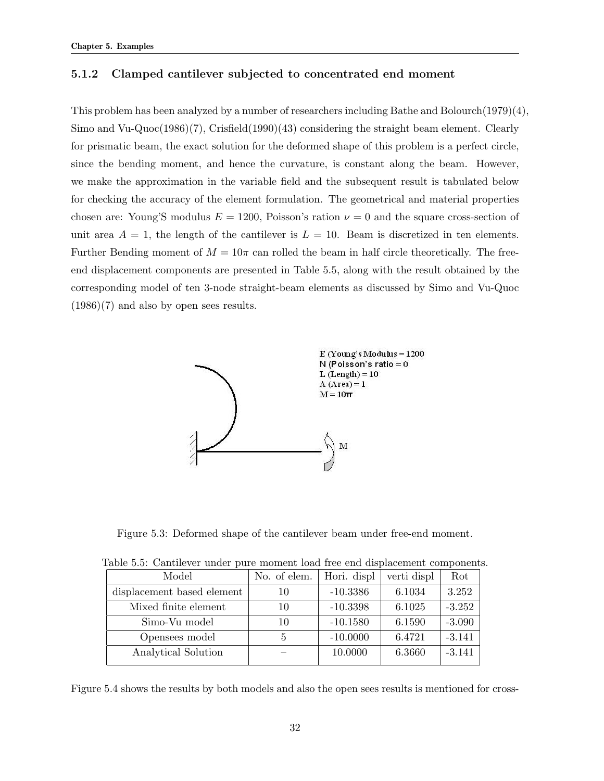### 5.1.2 Clamped cantilever subjected to concentrated end moment

This problem has been analyzed by a number of researchers including Bathe and Bolourch(1979)(4), Simo and Vu-Quoc(1986)(7), Crisfield(1990)(43) considering the straight beam element. Clearly for prismatic beam, the exact solution for the deformed shape of this problem is a perfect circle, since the bending moment, and hence the curvature, is constant along the beam. However, we make the approximation in the variable field and the subsequent result is tabulated below for checking the accuracy of the element formulation. The geometrical and material properties chosen are: Young'S modulus  $E = 1200$ , Poisson's ration  $\nu = 0$  and the square cross-section of unit area  $A = 1$ , the length of the cantilever is  $L = 10$ . Beam is discretized in ten elements. Further Bending moment of  $M = 10\pi$  can rolled the beam in half circle theoretically. The freeend displacement components are presented in Table 5.5, along with the result obtained by the corresponding model of ten 3-node straight-beam elements as discussed by Simo and Vu-Quoc  $(1986)(7)$  and also by open sees results.



Figure 5.3: Deformed shape of the cantilever beam under free-end moment.

| гаяно от социалого анал раго пютноне южа ноо она аюриконноне сошрононе |              |             |             |          |  |
|------------------------------------------------------------------------|--------------|-------------|-------------|----------|--|
| Model                                                                  | No. of elem. | Hori. displ | verti displ | Rot      |  |
| displacement based element                                             | 10           | $-10.3386$  | 6.1034      | 3.252    |  |
| Mixed finite element                                                   | 10           | $-10.3398$  | 6.1025      | $-3.252$ |  |
| Simo-Vu model                                                          | 10           | $-10.1580$  | 6.1590      | $-3.090$ |  |
| Opensees model                                                         |              | $-10.0000$  | 6.4721      | $-3.141$ |  |
| Analytical Solution                                                    |              | 10.0000     | 6.3660      | $-3.141$ |  |
|                                                                        |              |             |             |          |  |

Table 5.5: Cantilever under pure moment load free end displacement components.

Figure 5.4 shows the results by both models and also the open sees results is mentioned for cross-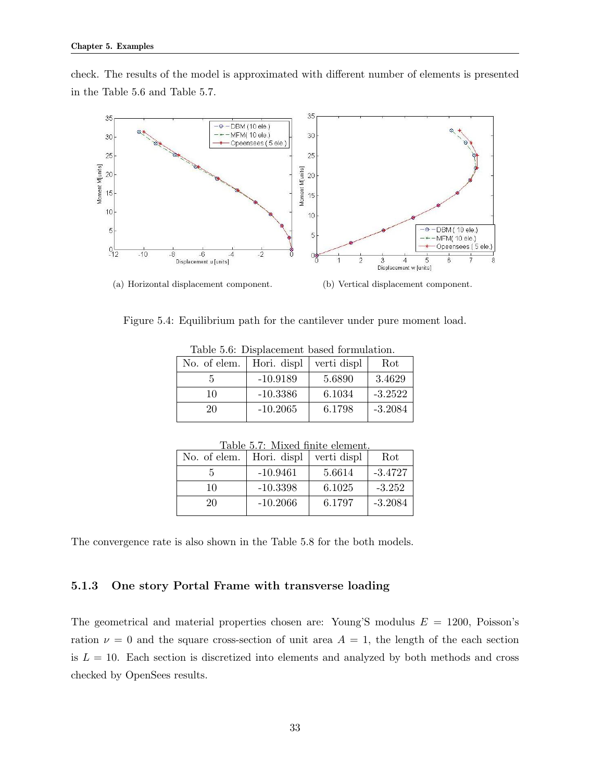check. The results of the model is approximated with different number of elements is presented in the Table 5.6 and Table 5.7.



Figure 5.4: Equilibrium path for the cantilever under pure moment load.

| No. of elem. | Hori. displ | verti displ | Rot       |
|--------------|-------------|-------------|-----------|
|              | $-10.9189$  | 5.6890      | 3.4629    |
| 10           | $-10.3386$  | 6.1034      | $-3.2522$ |
| 20           | $-10.2065$  | 6.1798      | $-3.2084$ |
|              |             |             |           |

| Table 5.6: Displacement based formulation. |  |  |
|--------------------------------------------|--|--|
|--------------------------------------------|--|--|

| Table 5.7: Mixed finite element. |             |             |           |  |
|----------------------------------|-------------|-------------|-----------|--|
| No. of elem.                     | Hori. displ | verti displ | Rot       |  |
| 5                                | $-10.9461$  | 5.6614      | $-3.4727$ |  |
| 10                               | $-10.3398$  | 6.1025      | $-3.252$  |  |
| 20                               | $-10.2066$  | 6.1797      | $-3.2084$ |  |
|                                  |             |             |           |  |

The convergence rate is also shown in the Table 5.8 for the both models.

### 5.1.3 One story Portal Frame with transverse loading

The geometrical and material properties chosen are: Young'S modulus  $E = 1200$ , Poisson's ration  $\nu = 0$  and the square cross-section of unit area  $A = 1$ , the length of the each section is  $L = 10$ . Each section is discretized into elements and analyzed by both methods and cross checked by OpenSees results.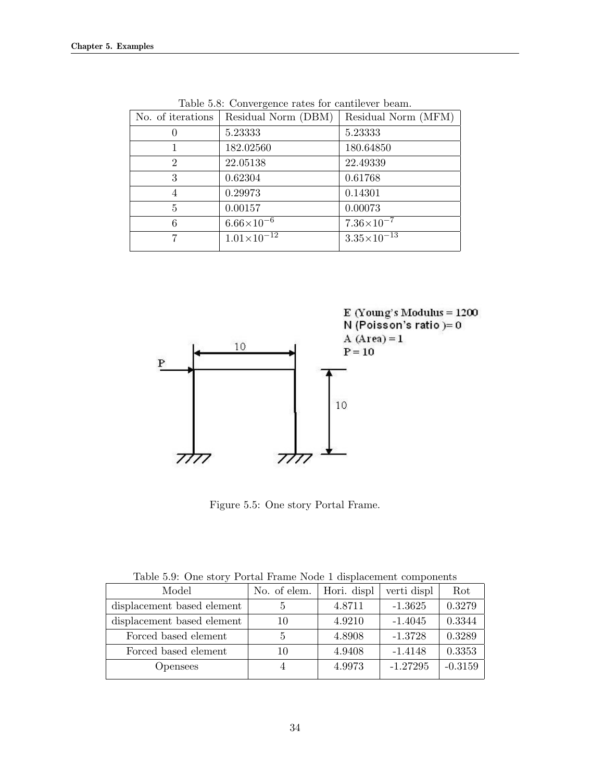| No. of iterations | Residual Norm (DBM)    | Residual Norm (MFM)    |
|-------------------|------------------------|------------------------|
|                   | 5.23333                | 5.23333                |
|                   | 182.02560              | 180.64850              |
| $\overline{2}$    | 22.05138               | 22.49339               |
| 3                 | 0.62304                | 0.61768                |
| 4                 | 0.29973                | 0.14301                |
| 5                 | 0.00157                | 0.00073                |
| 6                 | $6.66\times10^{-6}$    | $7.36\times10^{-7}$    |
|                   | $1.01 \times 10^{-12}$ | $3.35 \times 10^{-13}$ |

Table 5.8: Convergence rates for cantilever beam.



Figure 5.5: One story Portal Frame.

| Lable 0.9. One story I organizate todde I displacement components |             |             |           |  |
|-------------------------------------------------------------------|-------------|-------------|-----------|--|
| No. of elem.                                                      | Hori. displ | verti displ | Rot       |  |
| $\ddot{a}$                                                        | 4.8711      | $-1.3625$   | 0.3279    |  |
| 10                                                                | 4.9210      | $-1.4045$   | 0.3344    |  |
| 5                                                                 | 4.8908      | $-1.3728$   | 0.3289    |  |
| 10                                                                | 4.9408      | $-1.4148$   | 0.3353    |  |
|                                                                   | 4.9973      | $-1.27295$  | $-0.3159$ |  |
|                                                                   |             |             |           |  |

Table 5.9: One story Portal Frame Node 1 displacement components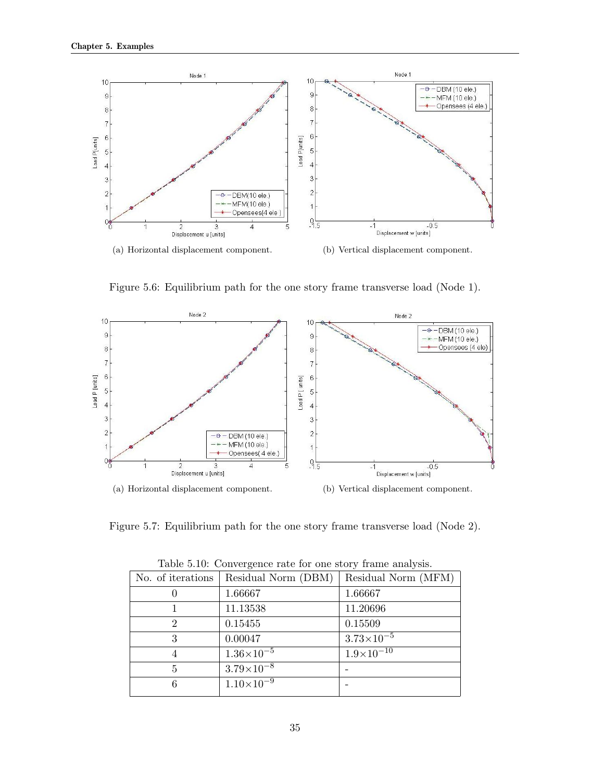

Figure 5.6: Equilibrium path for the one story frame transverse load (Node 1).



Figure 5.7: Equilibrium path for the one story frame transverse load (Node 2).

| Lable 0.10. Convergence rate for one story manie analysis. |                       |                     |  |
|------------------------------------------------------------|-----------------------|---------------------|--|
| No. of iterations                                          | Residual Norm (DBM)   | Residual Norm (MFM) |  |
| O                                                          | 1.66667               | 1.66667             |  |
|                                                            | 11.13538              | 11.20696            |  |
| 2                                                          | 0.15455               | 0.15509             |  |
| 3                                                          | 0.00047               | $3.73\times10^{-5}$ |  |
| 4                                                          | $1.36 \times 10^{-5}$ | $1.9\times10^{-10}$ |  |
| 5                                                          | $3.79\times10^{-8}$   |                     |  |
| 6                                                          | $1.10\times10^{-9}$   |                     |  |
|                                                            |                       |                     |  |

Table 5.10: Convergence rate for one story frame analysis.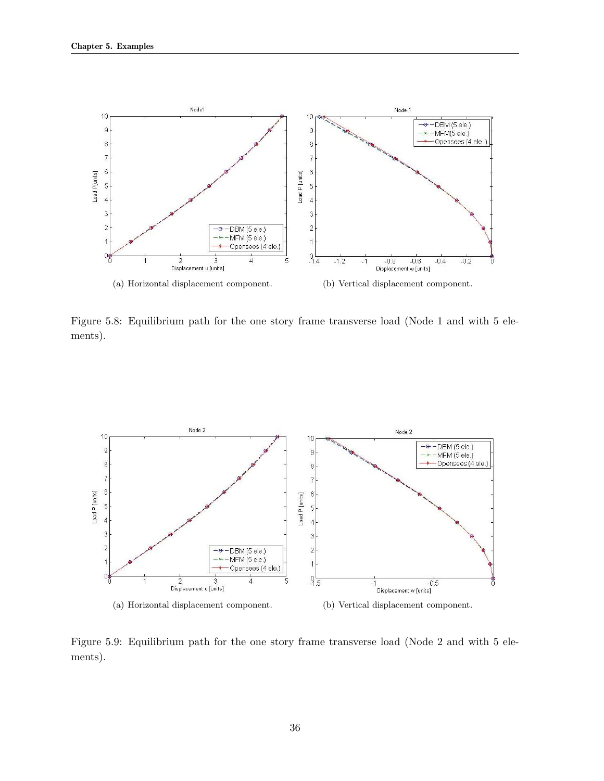

Figure 5.8: Equilibrium path for the one story frame transverse load (Node 1 and with 5 elements).



Figure 5.9: Equilibrium path for the one story frame transverse load (Node 2 and with 5 elements).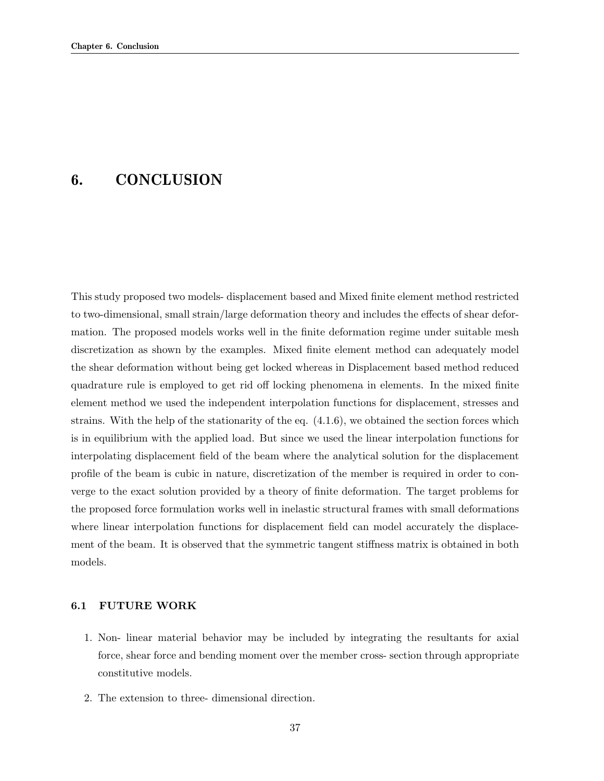### 6. CONCLUSION

This study proposed two models- displacement based and Mixed finite element method restricted to two-dimensional, small strain/large deformation theory and includes the effects of shear deformation. The proposed models works well in the finite deformation regime under suitable mesh discretization as shown by the examples. Mixed finite element method can adequately model the shear deformation without being get locked whereas in Displacement based method reduced quadrature rule is employed to get rid off locking phenomena in elements. In the mixed finite element method we used the independent interpolation functions for displacement, stresses and strains. With the help of the stationarity of the eq.  $(4.1.6)$ , we obtained the section forces which is in equilibrium with the applied load. But since we used the linear interpolation functions for interpolating displacement field of the beam where the analytical solution for the displacement profile of the beam is cubic in nature, discretization of the member is required in order to converge to the exact solution provided by a theory of finite deformation. The target problems for the proposed force formulation works well in inelastic structural frames with small deformations where linear interpolation functions for displacement field can model accurately the displacement of the beam. It is observed that the symmetric tangent stiffness matrix is obtained in both models.

#### 6.1 FUTURE WORK

- 1. Non- linear material behavior may be included by integrating the resultants for axial force, shear force and bending moment over the member cross- section through appropriate constitutive models.
- 2. The extension to three- dimensional direction.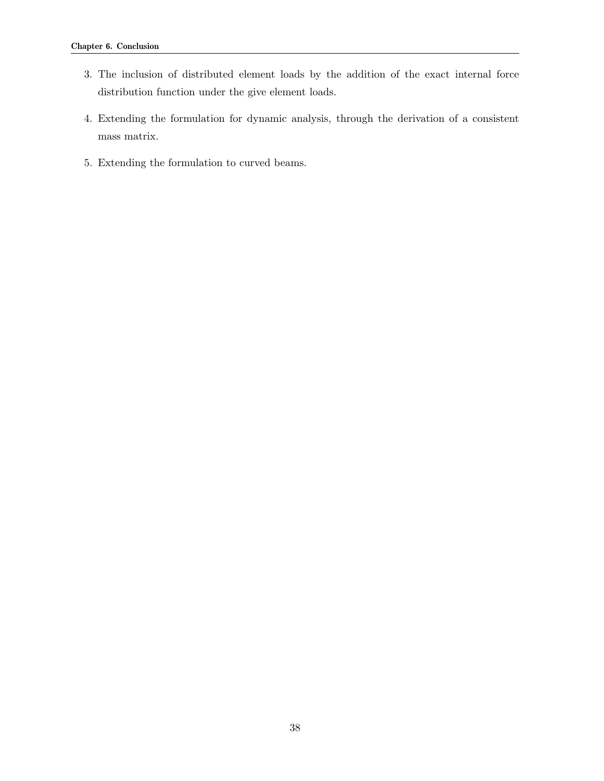- 3. The inclusion of distributed element loads by the addition of the exact internal force distribution function under the give element loads.
- 4. Extending the formulation for dynamic analysis, through the derivation of a consistent mass matrix.
- 5. Extending the formulation to curved beams.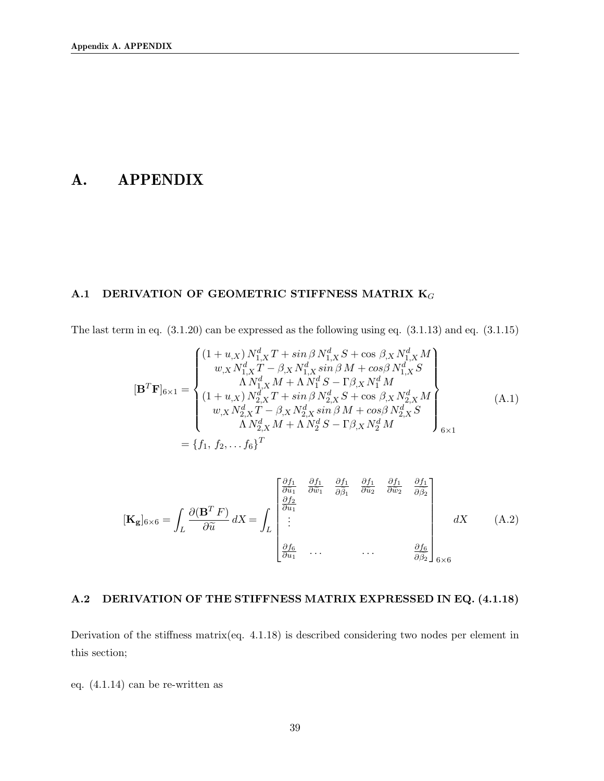### A. APPENDIX

### A.1 DERIVATION OF GEOMETRIC STIFFNESS MATRIX  $K_G$

The last term in eq. (3.1.20) can be expressed as the following using eq. (3.1.13) and eq. (3.1.15)

$$
[\mathbf{B}^T \mathbf{F}]_{6\times 1} = \begin{cases} (1+u_{,X}) N_{1,X}^d T + \sin \beta N_{1,X}^d S + \cos \beta_{,X} N_{1,X}^d M \\ w_{,X} N_{1,X}^d T - \beta_{,X} N_{1,X}^d \sin \beta M + \cos \beta N_{1,X}^d S \\ \Lambda N_{1,X}^d M + \Lambda N_1^d S - \Gamma \beta_{,X} N_1^d M \\ (1+u_{,X}) N_{2,X}^d T + \sin \beta N_{2,X}^d S + \cos \beta_{,X} N_{2,X}^d M \\ w_{,X} N_{2,X}^d T - \beta_{,X} N_{2,X}^d \sin \beta M + \cos \beta N_{2,X}^d S \\ \Lambda N_{2,X}^d M + \Lambda N_2^d S - \Gamma \beta_{,X} N_2^d M \end{cases} (A.1)
$$
  
=  $\{f_1, f_2, \dots f_6\}^T$ 

$$
[\mathbf{K}_{\mathbf{g}}]_{6\times6} = \int_{L} \frac{\partial(\mathbf{B}^{T} F)}{\partial \tilde{u}} dX = \int_{L} \begin{bmatrix} \frac{\partial f_{1}}{\partial \tilde{u}_{1}} & \frac{\partial f_{1}}{\partial \tilde{w}_{1}} & \frac{\partial f_{1}}{\partial \tilde{u}_{2}} & \frac{\partial f_{1}}{\partial \tilde{w}_{2}} & \frac{\partial f_{1}}{\partial \tilde{y}_{2}} \\ \frac{\partial f_{2}}{\partial u_{1}} & \cdots & \cdots & \frac{\partial f_{6}}{\partial \tilde{y}_{2}} \end{bmatrix}_{6\times6} dX \quad (A.2)
$$

### A.2 DERIVATION OF THE STIFFNESS MATRIX EXPRESSED IN EQ. (4.1.18)

Derivation of the stiffness matrix(eq. 4.1.18) is described considering two nodes per element in this section;

eq. (4.1.14) can be re-written as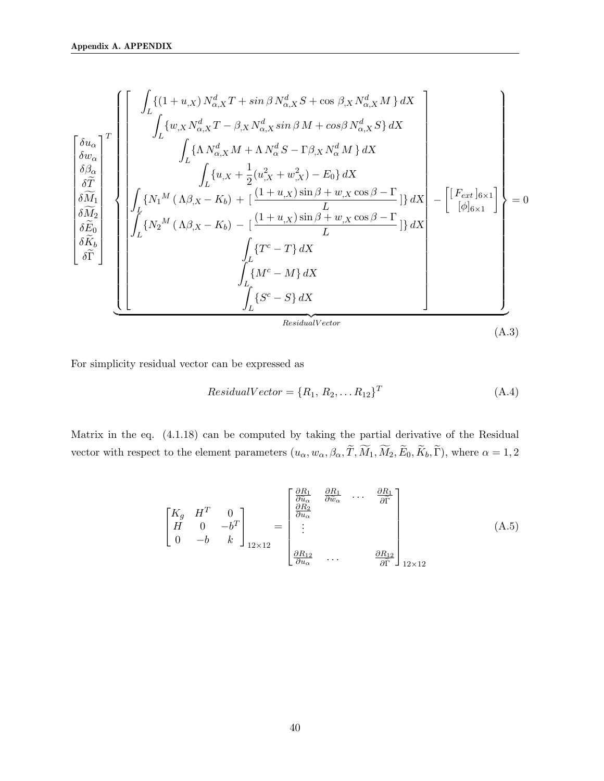$$
\begin{bmatrix}\n\delta u_{\alpha} \\
\delta u_{\alpha} \\
\delta \widetilde{M} \\
\delta \widetilde{M} \\
\delta \widetilde{K}_{b} \\
\delta \widetilde{F} \\
\delta \widetilde{F}\n\end{bmatrix}\n\begin{bmatrix}\n\int_{L} \{(1+u_{,X}) N_{\alpha,X}^{d} T + \sin \beta N_{\alpha,X}^{d} S + \cos \beta_{,X} N_{\alpha,X}^{d} M \} dX \\
\int_{L} \{w_{,X} N_{\alpha,X}^{d} T - \beta_{,X} N_{\alpha,X}^{d} \sin \beta M + \cos \beta N_{\alpha,X}^{d} S \} dX \\
\int_{L} \{M_{\alpha,X} N + \Lambda N_{\alpha}^{d} S - \Gamma \beta_{,X} N_{\alpha}^{d} M \} dX \\
\int_{L} \{u_{,X} + \frac{1}{2} (u_{,X}^{2} + w_{,X}^{2}) - E_{0} \} dX \\
\delta \widetilde{M}_{1} \\
\delta \widetilde{M}_{2} \\
\delta \widetilde{K}_{b} \\
\delta \widetilde{F}_{0} \\
\delta \widetilde{F}_{0} \\
\delta \widetilde{F}_{0}\n\end{bmatrix}\n\begin{bmatrix}\n\int_{L} \{N_{1}^{M} (\Lambda \beta_{,X} - K_{b}) + \left[\frac{(1+u_{,X}) \sin \beta + w_{,X} \cos \beta - \Gamma}{L}\right] \} dX \\
\int_{L} \{N_{2}^{M} (\Lambda \beta_{,X} - K_{b}) - \left[\frac{(1+u_{,X}) \sin \beta + w_{,X} \cos \beta - \Gamma}{L}\right] \} dX \\
\int_{L} \{T^{c} - T\} dX \\
\int_{L} \{M^{c} - M\} dX \\
\int_{L} \{S^{c} - S\} dX\n\end{bmatrix}\n\begin{bmatrix}\n\int_{L} \{N_{1}^{M} (\Lambda \beta_{,X} - K_{b}) - \left[\frac{(1+u_{,X}) \sin \beta + w_{,X} \cos \beta - \Gamma}{L}\right] \} dX \\
\int_{L} \{S^{c} - S\} dX\n\end{bmatrix}\n\begin{bmatrix}\n\int_{L} \{N_{1}^{M} (\Lambda \beta_{,X} - K_{b}) - \left[\frac{(1+u_{,X}) \sin \beta + w_{,X} \cos \beta - \Gamma}{L}\right
$$

For simplicity residual vector can be expressed as

$$
ResidualVector = \{R_1, R_2, \dots R_{12}\}^T
$$
\n(A.4)

Matrix in the eq. (4.1.18) can be computed by taking the partial derivative of the Residual vector with respect to the element parameters  $(u_{\alpha}, w_{\alpha}, \beta_{\alpha}, \widetilde{T}, \widetilde{M}_1, \widetilde{M}_2, \widetilde{E}_0, \widetilde{K}_b, \widetilde{\Gamma})$ , where  $\alpha = 1, 2$ 

$$
\begin{bmatrix}\nK_g & H^T & 0 \\
H & 0 & -b^T \\
0 & -b & k\n\end{bmatrix}_{12\times12} = \begin{bmatrix}\n\frac{\partial R_1}{\partial \tilde{u}_\alpha} & \frac{\partial R_1}{\partial \tilde{w}_\alpha} & \cdots & \frac{\partial R_1}{\partial \tilde{r}} \\
\frac{\partial R_2}{\partial u_\alpha} & \cdots & \frac{\partial R_{12}}{\partial \tilde{r}}\n\end{bmatrix}_{12\times12}
$$
\n(A.5)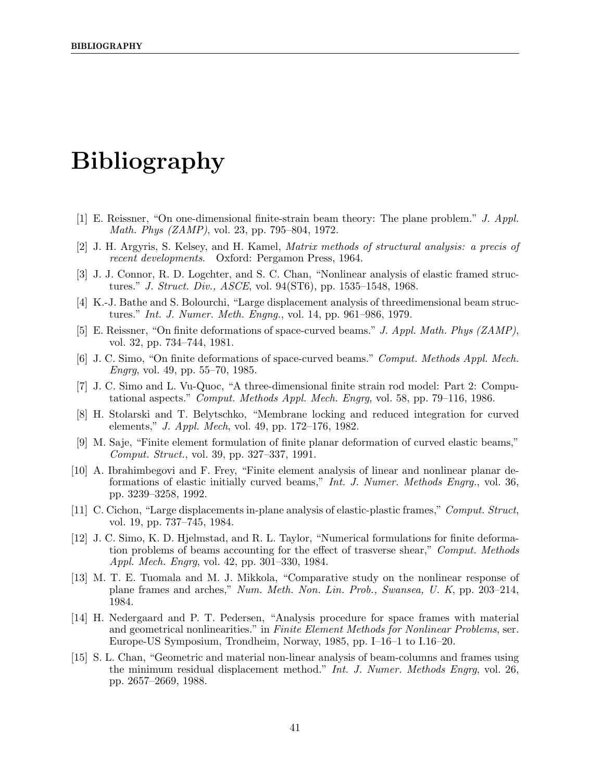# Bibliography

- [1] E. Reissner, "On one-dimensional finite-strain beam theory: The plane problem." J. Appl. Math. Phys (ZAMP), vol. 23, pp. 795–804, 1972.
- [2] J. H. Argyris, S. Kelsey, and H. Kamel, Matrix methods of structural analysis: a precis of recent developments. Oxford: Pergamon Press, 1964.
- [3] J. J. Connor, R. D. Logchter, and S. C. Chan, "Nonlinear analysis of elastic framed structures." J. Struct. Div., ASCE, vol. 94(ST6), pp. 1535–1548, 1968.
- [4] K.-J. Bathe and S. Bolourchi, "Large displacement analysis of threedimensional beam structures." Int. J. Numer. Meth. Engng., vol. 14, pp. 961–986, 1979.
- [5] E. Reissner, "On finite deformations of space-curved beams." J. Appl. Math. Phys (ZAMP), vol. 32, pp. 734–744, 1981.
- [6] J. C. Simo, "On finite deformations of space-curved beams." Comput. Methods Appl. Mech. Engrg, vol. 49, pp. 55–70, 1985.
- [7] J. C. Simo and L. Vu-Quoc, "A three-dimensional finite strain rod model: Part 2: Computational aspects." Comput. Methods Appl. Mech. Engrg, vol. 58, pp. 79–116, 1986.
- [8] H. Stolarski and T. Belytschko, "Membrane locking and reduced integration for curved elements," J. Appl. Mech, vol. 49, pp. 172–176, 1982.
- [9] M. Saje, "Finite element formulation of finite planar deformation of curved elastic beams," Comput. Struct., vol. 39, pp. 327–337, 1991.
- [10] A. Ibrahimbegovi and F. Frey, "Finite element analysis of linear and nonlinear planar deformations of elastic initially curved beams," Int. J. Numer. Methods Engrg., vol. 36, pp. 3239–3258, 1992.
- [11] C. Cichon, "Large displacements in-plane analysis of elastic-plastic frames," Comput. Struct, vol. 19, pp. 737–745, 1984.
- [12] J. C. Simo, K. D. Hjelmstad, and R. L. Taylor, "Numerical formulations for finite deformation problems of beams accounting for the effect of trasverse shear," Comput. Methods Appl. Mech. Engrg, vol. 42, pp. 301–330, 1984.
- [13] M. T. E. Tuomala and M. J. Mikkola, "Comparative study on the nonlinear response of plane frames and arches," Num. Meth. Non. Lin. Prob., Swansea, U. K, pp. 203–214, 1984.
- [14] H. Nedergaard and P. T. Pedersen, "Analysis procedure for space frames with material and geometrical nonlinearities." in Finite Element Methods for Nonlinear Problems, ser. Europe-US Symposium, Trondheim, Norway, 1985, pp. I–16–1 to I.16–20.
- [15] S. L. Chan, "Geometric and material non-linear analysis of beam-columns and frames using the minimum residual displacement method." Int. J. Numer. Methods Engrg, vol. 26, pp. 2657–2669, 1988.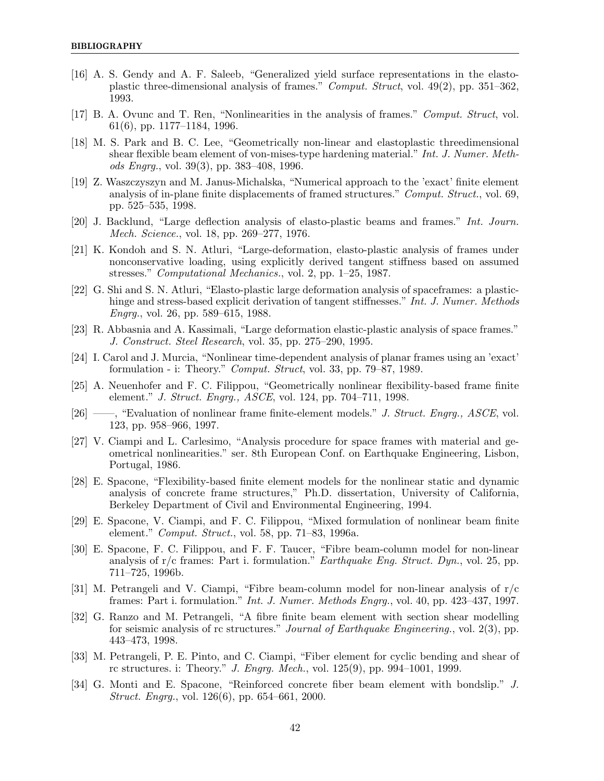- [16] A. S. Gendy and A. F. Saleeb, "Generalized yield surface representations in the elastoplastic three-dimensional analysis of frames." Comput. Struct, vol. 49(2), pp. 351–362, 1993.
- [17] B. A. Ovunc and T. Ren, "Nonlinearities in the analysis of frames." Comput. Struct, vol. 61(6), pp. 1177–1184, 1996.
- [18] M. S. Park and B. C. Lee, "Geometrically non-linear and elastoplastic threedimensional shear flexible beam element of von-mises-type hardening material." Int. J. Numer. Meth*ods Engrg.*, vol. 39(3), pp. 383–408, 1996.
- [19] Z. Waszczyszyn and M. Janus-Michalska, "Numerical approach to the 'exact' finite element analysis of in-plane finite displacements of framed structures." Comput. Struct., vol. 69, pp. 525–535, 1998.
- [20] J. Backlund, "Large deflection analysis of elasto-plastic beams and frames." Int. Journ. Mech. Science., vol. 18, pp. 269–277, 1976.
- [21] K. Kondoh and S. N. Atluri, "Large-deformation, elasto-plastic analysis of frames under nonconservative loading, using explicitly derived tangent stiffness based on assumed stresses." Computational Mechanics., vol. 2, pp. 1–25, 1987.
- [22] G. Shi and S. N. Atluri, "Elasto-plastic large deformation analysis of spaceframes: a plastichinge and stress-based explicit derivation of tangent stiffnesses." Int. J. Numer. Methods Engrg., vol. 26, pp. 589–615, 1988.
- [23] R. Abbasnia and A. Kassimali, "Large deformation elastic-plastic analysis of space frames." J. Construct. Steel Research, vol. 35, pp. 275–290, 1995.
- [24] I. Carol and J. Murcia, "Nonlinear time-dependent analysis of planar frames using an 'exact' formulation - i: Theory." Comput. Struct, vol. 33, pp. 79–87, 1989.
- [25] A. Neuenhofer and F. C. Filippou, "Geometrically nonlinear flexibility-based frame finite element." J. Struct. Engrg., ASCE, vol. 124, pp. 704–711, 1998.
- [26] ——, "Evaluation of nonlinear frame finite-element models." J. Struct. Engrg., ASCE, vol. 123, pp. 958–966, 1997.
- [27] V. Ciampi and L. Carlesimo, "Analysis procedure for space frames with material and geometrical nonlinearities." ser. 8th European Conf. on Earthquake Engineering, Lisbon, Portugal, 1986.
- [28] E. Spacone, "Flexibility-based finite element models for the nonlinear static and dynamic analysis of concrete frame structures," Ph.D. dissertation, University of California, Berkeley Department of Civil and Environmental Engineering, 1994.
- [29] E. Spacone, V. Ciampi, and F. C. Filippou, "Mixed formulation of nonlinear beam finite element." Comput. Struct., vol. 58, pp. 71–83, 1996a.
- [30] E. Spacone, F. C. Filippou, and F. F. Taucer, "Fibre beam-column model for non-linear analysis of  $r/c$  frames: Part i. formulation." *Earthquake Eng. Struct. Dyn.*, vol. 25, pp. 711–725, 1996b.
- [31] M. Petrangeli and V. Ciampi, "Fibre beam-column model for non-linear analysis of r/c frames: Part i. formulation." Int. J. Numer. Methods Engrg., vol. 40, pp. 423–437, 1997.
- [32] G. Ranzo and M. Petrangeli, "A fibre finite beam element with section shear modelling for seismic analysis of rc structures." Journal of Earthquake Engineering., vol. 2(3), pp. 443–473, 1998.
- [33] M. Petrangeli, P. E. Pinto, and C. Ciampi, "Fiber element for cyclic bending and shear of rc structures. i: Theory." J. Engrg. Mech., vol. 125(9), pp. 994–1001, 1999.
- [34] G. Monti and E. Spacone, "Reinforced concrete fiber beam element with bondslip." J. Struct. Engrg., vol. 126(6), pp. 654–661, 2000.